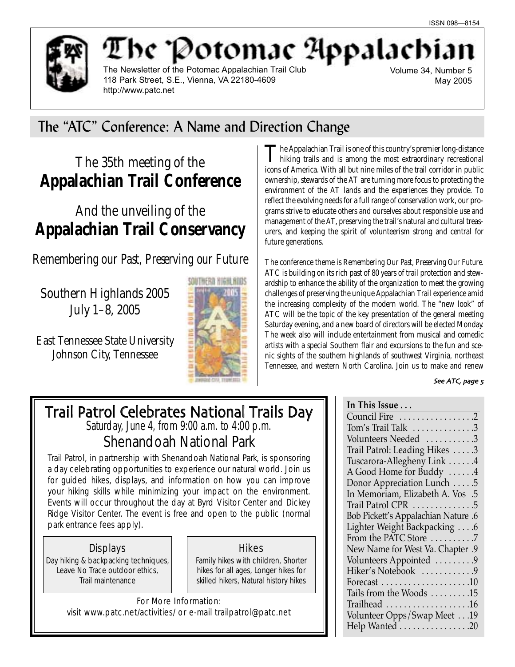

The Newsletter of the Potomac Appalachian Trail Club 118 Park Street, S.E., Vienna, VA 22180-4609 http://www.patc.net

he 'Potomac Appalachi

Volume 34, Number 5 May 2005

## The "ATC" Conference: A Name and Direction Change

## The 35th meeting of the **Appalachian Trail Conference**

## And the unveiling of the **Appalachian Trail Conservancy**

*Remembering our Past, Preserving our Future*

Southern Highlands 2005 July 1–8, 2005

East Tennessee State University Johnson City, Tennessee



The Appalachian Trail is one of this country's premier long-distance **L** hiking trails and is among the most extraordinary recreational icons of America. With all but nine miles of the trail corridor in public ownership, stewards of the AT are turning more focus to protecting the environment of the AT lands and the experiences they provide. To reflect the evolving needs for a full range of conservation work, our programs strive to educate others and ourselves about responsible use and management of the AT, preserving the trail's natural and cultural treasurers, and keeping the spirit of volunteerism strong and central for future generations.

The conference theme is *Remembering Our Past, Preserving Our Future*. ATC is building on its rich past of 80 years of trail protection and stewardship to enhance the ability of the organization to meet the growing challenges of preserving the unique Appalachian Trail experience amid the increasing complexity of the modern world. The "new look" of ATC will be the topic of the key presentation of the general meeting Saturday evening, and a new board of directors will be elected Monday. The week also will include entertainment from musical and comedic artists with a special Southern flair and excursions to the fun and scenic sights of the southern highlands of southwest Virginia, northeast Tennessee, and western North Carolina. Join us to make and renew

### See ATC, page 5

## Trail Patrol Celebrates National Trails Day Saturday, June 4, from 9:00 a.m. to 4:00 p.m.

Shenandoah National Park

Trail Patrol, in partnership with Shenandoah National Park, is sponsoring a day celebrating opportunities to experience our natural world. Join us for guided hikes, displays, and information on how you can improve your hiking skills while minimizing your impact on the environment. Events will occur throughout the day at Byrd Visitor Center and Dickey Ridge Visitor Center. The event is free and open to the public (normal park entrance fees apply).

## Displays

Day hiking & backpacking techniques, Leave No Trace outdoor ethics, Trail maintenance

Hikes

Family hikes with children, Shorter hikes for all ages, Longer hikes for skilled hikers, Natural history hikes

For More Information: visit www.patc.net/activities/ or e-mail trailpatrol@patc.net

| In This Issue                              |
|--------------------------------------------|
| Council Fire 2                             |
| Tom's Trail Talk 3                         |
| Volunteers Needed 3                        |
| Trail Patrol: Leading Hikes 3              |
| Tuscarora-Allegheny Link 4                 |
| A Good Home for Buddy 4                    |
| Donor Appreciation Lunch 5                 |
| In Memoriam, Elizabeth A. Vos .5           |
| Trail Patrol CPR 5                         |
| <b>Bob Pickett's Appalachian Nature .6</b> |
| Lighter Weight Backpacking 6               |
| From the PATC Store 7                      |
| New Name for West Va. Chapter .9           |
| Volunteers Appointed 9                     |
| Hiker's Notebook 9                         |
|                                            |
| Tails from the Woods 15                    |
| Trailhead 16                               |
| Volunteer Opps/Swap Meet 19                |
| Help Wanted 20                             |
|                                            |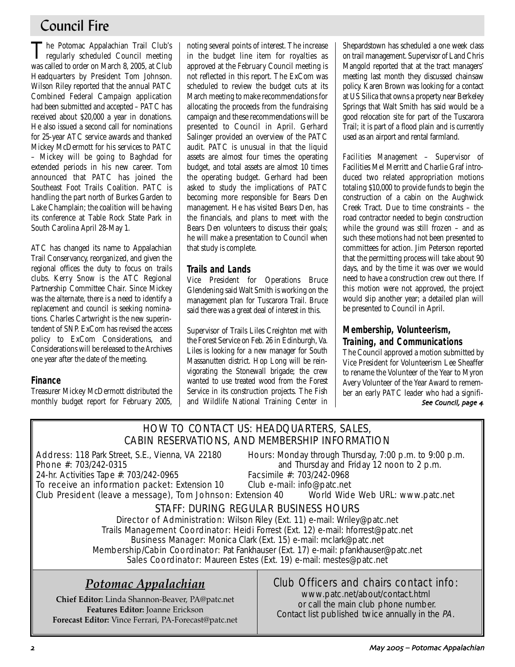## Council Fire

The Potomac Appalachian Trail Club's regularly scheduled Council meeting was called to order on March 8, 2005, at Club Headquarters by President Tom Johnson. Wilson Riley reported that the annual PATC Combined Federal Campaign application had been submitted and accepted – PATC has received about \$20,000 a year in donations. He also issued a second call for nominations for 25-year ATC service awards and thanked Mickey McDermott for his services to PATC – Mickey will be going to Baghdad for extended periods in his new career. Tom announced that PATC has joined the Southeast Foot Trails Coalition. PATC is handling the part north of Burkes Garden to Lake Champlain; the coalition will be having its conference at Table Rock State Park in South Carolina April 28-May 1.

ATC has changed its name to Appalachian Trail Conservancy, reorganized, and given the regional offices the duty to focus on trails clubs. Kerry Snow is the ATC Regional Partnership Committee Chair. Since Mickey was the alternate, there is a need to identify a replacement and council is seeking nominations. Charles Cartwright is the new superintendent of SNP. ExCom has revised the access policy to ExCom Considerations, and Considerations will be released to the Archives one year after the date of the meeting.

### **Finance**

Treasurer Mickey McDermott distributed the monthly budget report for February 2005, noting several points of interest. The increase in the budget line item for royalties as approved at the February Council meeting is not reflected in this report. The ExCom was scheduled to review the budget cuts at its March meeting to make recommendations for allocating the proceeds from the fundraising campaign and these recommendations will be presented to Council in April. Gerhard Salinger provided an overview of the PATC audit. PATC is unusual in that the liquid assets are almost four times the operating budget, and total assets are almost 10 times the operating budget. Gerhard had been asked to study the implications of PATC becoming more responsible for Bears Den management. He has visited Bears Den, has the financials, and plans to meet with the Bears Den volunteers to discuss their goals; he will make a presentation to Council when that study is complete.

### **Trails and Lands**

Vice President for Operations Bruce Glendening said Walt Smith is working on the management plan for Tuscarora Trail. Bruce said there was a great deal of interest in this.

Supervisor of Trails Liles Creighton met with the Forest Service on Feb. 26 in Edinburgh, Va. Liles is looking for a new manager for South Massanutten district. Hop Long will be reinvigorating the Stonewall brigade; the crew wanted to use treated wood from the Forest Service in its construction projects. The Fish and Wildlife National Training Center in Shepardstown has scheduled a one week class on trail management. Supervisor of Land Chris Mangold reported that at the tract managers' meeting last month they discussed chainsaw policy. Karen Brown was looking for a contact at US Silica that owns a property near Berkeley Springs that Walt Smith has said would be a good relocation site for part of the Tuscarora Trail; it is part of a flood plain and is currently used as an airport and rental farmland.

*Facilities Management* – Supervisor of Facilities Mel Merritt and Charlie Graf introduced two related appropriation motions totaling \$10,000 to provide funds to begin the construction of a cabin on the Aughwick Creek Tract. Due to time constraints – the road contractor needed to begin construction while the ground was still frozen – and as such these motions had not been presented to committees for action. Jim Peterson reported that the permitting process will take about 90 days, and by the time it was over we would need to have a construction crew out there. If this motion were not approved, the project would slip another year; a detailed plan will be presented to Council in April.

## **Membership, Volunteerism, Training, and Communications**

The Council approved a motion submitted by Vice President for Volunteerism Lee Sheaffer to rename the Volunteer of the Year to Myron Avery Volunteer of the Year Award to remember an early PATC leader who had a signifi-See Council, page 4

## HOW TO CONTACT US: HEADQUARTERS, SALES, CABIN RESERVATIONS, AND MEMBERSHIP INFORMATION

24-hr. Activities Tape #: 703/242-0965

Address: 118 Park Street, S.E., Vienna, VA 22180 Hours: Monday through Thursday, 7:00 p.m. to 9:00 p.m.<br>Phone #: 703/242-0315 **Phone** #: 703/242-0315 and Thursday and Friday 12 noon to 2 p.m.<br>Facsimile #: 703/242-0968

To receive an information packet: Extension 10 Club e-mail: info@patc.net Club President (leave a message), Tom Johnson: Extension 40 World Wide Web URL: www.patc.net

## STAFF: DURING REGULAR BUSINESS HOURS

Director of Administration: Wilson Riley (Ext. 11) e-mail: Wriley@patc.net Trails Management Coordinator: Heidi Forrest (Ext. 12) e-mail: hforrest@patc.net Business Manager: Monica Clark (Ext. 15) e-mail: mclark@patc.net Membership/Cabin Coordinator: Pat Fankhauser (Ext. 17) e-mail: pfankhauser@patc.net Sales Coordinator: Maureen Estes (Ext. 19) e-mail: mestes@patc.net

## *Potomac Appalachian*

**Chief Editor:** Linda Shannon-Beaver, PA@patc.net **Features Editor:** Joanne Erickson **Forecast Editor:** Vince Ferrari, PA-Forecast@patc.net

## Club Officers and chairs contact info:

www.patc.net/about/contact.html or call the main club phone number. Contact list published twice annually in the PA.

May 2005 - Potomac Appalachian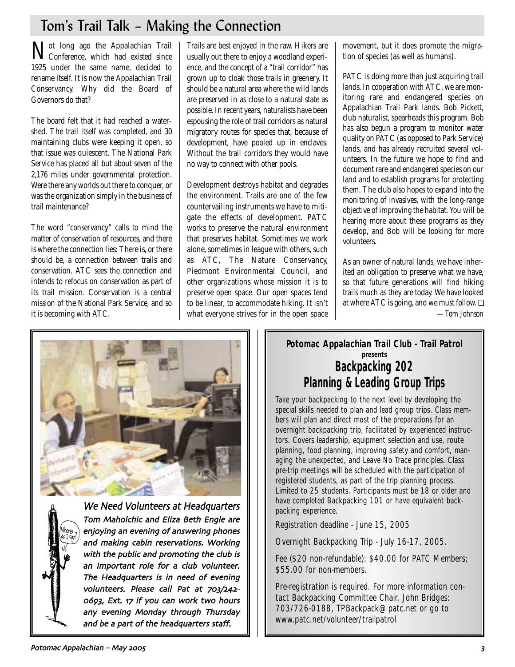## Tom's Trail Talk – Making the Connection

Not long ago the Appalachian Trail Conference, which had existed since 1925 under the same name, decided to rename itself. It is now the Appalachian Trail Conservancy. Why did the Board of Governors do that?

The board felt that it had reached a watershed. The trail itself was completed, and 30 maintaining clubs were keeping it open, so that issue was quiescent. The National Park Service has placed all but about seven of the 2,176 miles under governmental protection. Were there any worlds out there to conquer, or was the organization simply in the business of trail maintenance?

The word "conservancy" calls to mind the matter of conservation of resources, and there is where the connection lies: There is, or there should be, a connection between trails and conservation. ATC sees the connection and intends to refocus on conservation as part of its trail mission. Conservation is a central mission of the National Park Service, and so it is becoming with ATC.

Trails are best enjoyed in the raw. Hikers are usually out there to enjoy a woodland experience, and the concept of a "trail corridor" has grown up to cloak those trails in greenery. It should be a natural area where the wild lands are preserved in as close to a natural state as possible. In recent years, naturalists have been espousing the role of trail corridors as natural migratory routes for species that, because of development, have pooled up in enclaves. Without the trail corridors they would have no way to connect with other pools.

Development destroys habitat and degrades the environment. Trails are one of the few countervailing instruments we have to mitigate the effects of development. PATC works to preserve the natural environment that preserves habitat. Sometimes we work alone, sometimes in league with others, such as ATC, The Nature Conservancy, Piedmont Environmental Council, and other organizations whose mission it is to preserve open space. Our open spaces tend to be linear, to accommodate hiking. It isn't what everyone strives for in the open space movement, but it does promote the migration of species (as well as humans).

PATC is doing more than just acquiring trail lands. In cooperation with ATC, we are monitoring rare and endangered species on Appalachian Trail Park lands. Bob Pickett, club naturalist, spearheads this program. Bob has also begun a program to monitor water quality on PATC (as opposed to Park Service) lands, and has already recruited several volunteers. In the future we hope to find and document rare and endangered species on our land and to establish programs for protecting them. The club also hopes to expand into the monitoring of invasives, with the long-range objective of improving the habitat. You will be hearing more about these programs as they develop, and Bob will be looking for more volunteers.

As an owner of natural lands, we have inherited an obligation to preserve what we have, so that future generations will find hiking trails much as they are today. We have looked at where ATC is going, and we must follow. ❏ *—Tom Johnson*





We Need Volunteers at Headquarters Tom Maholchic and Eliza Beth Engle are enjoying an evening of answering phones and making cabin reservations. Working with the public and promoting the club is an important role for a club volunteer. The Headquarters is in need of evening volunteers. Please call Pat at 703/242-0693, Ext. 17 if you can work two hours any evening Monday through Thursday and be a part of the headquarters staff.

## **Potomac Appalachian Trail Club - Trail Patrol presents Backpacking 202 Planning & Leading Group Trips**

Take your backpacking to the next level by developing the special skills needed to plan and lead group trips. Class members will plan and direct most of the preparations for an overnight backpacking trip, facilitated by experienced instructors. Covers leadership, equipment selection and use, route planning, food planning, improving safety and comfort, managing the unexpected, and Leave No Trace principles. Class pre-trip meetings will be scheduled with the participation of registered students, as part of the trip planning process. Limited to 25 students. Participants must be 18 or older and have completed Backpacking 101 or have equivalent backpacking experience.

Registration deadline - June 15, 2005

Overnight Backpacking Trip - July 16-17, 2005.

Fee (\$20 non-refundable): \$40.00 for PATC Members; \$55.00 for non-members.

Pre-registration is required. For more information contact Backpacking Committee Chair, John Bridges: 703/726-0188, TPBackpack@patc.net or go to www.patc.net/volunteer/trailpatrol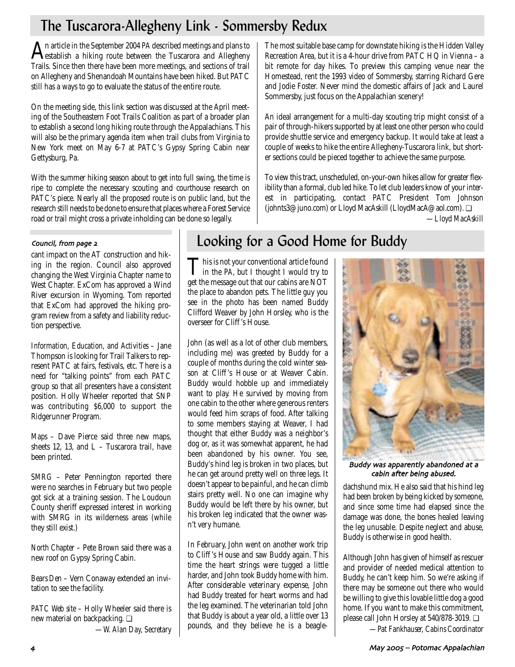## The Tuscarora-Allegheny Link - Sommersby Redux

An article in the September 2004 *PA* described meetings and plans to<br>destablish a hiking route between the Tuscarora and Allegheny Trails. Since then there have been more meetings, and sections of trail on Allegheny and Shenandoah Mountains have been hiked. But PATC still has a ways to go to evaluate the status of the entire route.

On the meeting side, this link section was discussed at the April meeting of the Southeastern Foot Trails Coalition as part of a broader plan to establish a second long hiking route through the Appalachians. This will also be the primary agenda item when trail clubs from Virginia to New York meet on May 6-7 at PATC's Gypsy Spring Cabin near Gettysburg, Pa.

With the summer hiking season about to get into full swing, the time is ripe to complete the necessary scouting and courthouse research on PATC's piece. Nearly all the proposed route is on public land, but the research still needs to be done to ensure that places where a Forest Service road or trail might cross a private inholding can be done so legally.

The most suitable base camp for downstate hiking is the Hidden Valley Recreation Area, but it is a 4-hour drive from PATC HQ in Vienna – a bit remote for day hikes. To preview this camping venue near the Homestead, rent the 1993 video of Sommersby, starring Richard Gere and Jodie Foster. Never mind the domestic affairs of Jack and Laurel Sommersby, just focus on the Appalachian scenery!

An ideal arrangement for a multi-day scouting trip might consist of a pair of through-hikers supported by at least one other person who could provide shuttle service and emergency backup. It would take at least a couple of weeks to hike the entire Allegheny-Tuscarora link, but shorter sections could be pieced together to achieve the same purpose.

To view this tract, unscheduled, on-your-own hikes allow for greater flexibility than a formal, club led hike. To let club leaders know of your interest in participating, contact PATC President Tom Johnson (johnts3@juno.com) or Lloyd MacAskill (LloydMacA@aol.com). ❏ *—Lloyd MacAskill*

### Council, from page 2

cant impact on the AT construction and hiking in the region. Council also approved changing the West Virginia Chapter name to West Chapter. ExCom has approved a Wind River excursion in Wyoming. Tom reported that ExCom had approved the hiking program review from a safety and liability reduction perspective.

*Information, Education, and Activities* – Jane Thompson is looking for Trail Talkers to represent PATC at fairs, festivals, etc. There is a need for "talking points" from each PATC group so that all presenters have a consistent position. Holly Wheeler reported that SNP was contributing \$6,000 to support the Ridgerunner Program.

*Maps* – Dave Pierce said three new maps, sheets 12, 13, and  $L$  – Tuscarora trail, have been printed.

*SMRG* – Peter Pennington reported there were no searches in February but two people got sick at a training session. The Loudoun County sheriff expressed interest in working with SMRG in its wilderness areas (while they still exist.)

*North Chapter* – Pete Brown said there was a new roof on Gypsy Spring Cabin.

*Bears Den* – Vern Conaway extended an invitation to see the facility.

*PATC Web site* – Holly Wheeler said there is new material on backpacking. ❏ *—W. Alan Day, Secretary*

## Looking for a Good Home for Buddy

This is not your conventional article found in the *PA*, but I thought I would try to get the message out that our cabins are NOT the place to abandon pets. The little guy you see in the photo has been named Buddy Clifford Weaver by John Horsley, who is the overseer for Cliff 's House.

John (as well as a lot of other club members, including me) was greeted by Buddy for a couple of months during the cold winter season at Cliff 's House or at Weaver Cabin. Buddy would hobble up and immediately want to play. He survived by moving from one cabin to the other where generous renters would feed him scraps of food. After talking to some members staying at Weaver, I had thought that either Buddy was a neighbor's dog or, as it was somewhat apparent, he had been abandoned by his owner. You see, Buddy's hind leg is broken in two places, but he can get around pretty well on three legs. It doesn't appear to be painful, and he can climb stairs pretty well. No one can imagine why Buddy would be left there by his owner, but his broken leg indicated that the owner wasn't very humane.

In February, John went on another work trip to Cliff 's House and saw Buddy again. This time the heart strings were tugged a little harder, and John took Buddy home with him. After considerable veterinary expense, John had Buddy treated for heart worms and had the leg examined. The veterinarian told John that Buddy is about a year old, a little over 13 pounds, and they believe he is a beagle-



Buddy was apparently abandoned at a cabin after being abused.

dachshund mix. He also said that his hind leg had been broken by being kicked by someone, and since some time had elapsed since the damage was done, the bones healed leaving the leg unusable. Despite neglect and abuse, Buddy is otherwise in good health.

Although John has given of himself as rescuer and provider of needed medical attention to Buddy, he can't keep him. So we're asking if there may be someone out there who would be willing to give this lovable little dog a good home. If you want to make this commitment, please call John Horsley at 540/878-3019. ❏

*—Pat Fankhauser, Cabins Coordinator*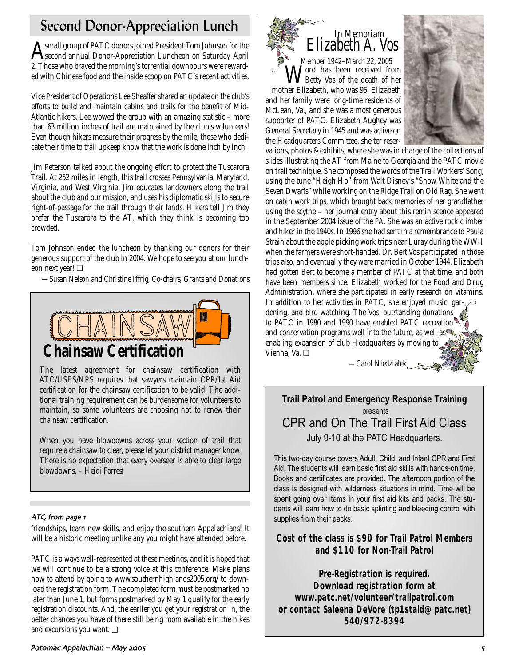## Second Donor-Appreciation Lunch

Asmall group of PATC donors joined President Tom Johnson for the<br>Second annual Donor-Appreciation Luncheon on Saturday, April 2. Those who braved the morning's torrential downpours were rewarded with Chinese food and the inside scoop on PATC's recent activities.

Vice President of Operations Lee Sheaffer shared an update on the club's efforts to build and maintain cabins and trails for the benefit of Mid-Atlantic hikers. Lee wowed the group with an amazing statistic – more than 63 million inches of trail are maintained by the club's volunteers! Even though hikers measure their progress by the mile, those who dedicate their time to trail upkeep know that the work is done inch by inch.

Jim Peterson talked about the ongoing effort to protect the Tuscarora Trail. At 252 miles in length, this trail crosses Pennsylvania, Maryland, Virginia, and West Virginia. Jim educates landowners along the trail about the club and our mission, and uses his diplomatic skills to secure right-of-passage for the trail through their lands. Hikers tell Jim they prefer the Tuscarora to the AT, which they think is becoming too crowded.

Tom Johnson ended the luncheon by thanking our donors for their generous support of the club in 2004. We hope to see you at our luncheon next year! ❏

*—Susan Nelson and Christine Iffrig, Co-chairs, Grants and Donations*



The latest agreement for chainsaw certification with ATC/USFS/NPS requires that sawyers maintain CPR/1st Aid certification for the chainsaw certification to be valid. The additional training requirement can be burdensome for volunteers to maintain, so some volunteers are choosing not to renew their chainsaw certification.

When you have blowdowns across your section of trail that require a chainsaw to clear, please let your district manager know. There is no expectation that every overseer is able to clear large blowdowns. – *Heidi Forrest*

## ATC, from page 1

friendships, learn new skills, and enjoy the southern Appalachians! It will be a historic meeting unlike any you might have attended before.

PATC is always well-represented at these meetings, and it is hoped that we will continue to be a strong voice at this conference. Make plans now to attend by going to www.southernhighlands2005.org/ to download the registration form. The completed form must be postmarked no later than June 1, but forms postmarked by May 1 qualify for the early registration discounts. And, the earlier you get your registration in, the better chances you have of there still being room available in the hikes and excursions you want. ❏



vations, photos & exhibits, where she was in charge of the collections of slides illustrating the AT from Maine to Georgia and the PATC movie on trail technique. She composed the words of the Trail Workers' Song, using the tune "Heigh Ho" from Walt Disney's "Snow White and the Seven Dwarfs" while working on the Ridge Trail on Old Rag. She went on cabin work trips, which brought back memories of her grandfather using the scythe – her journal entry about this reminiscence appeared in the September 2004 issue of the *PA*. She was an active rock climber and hiker in the 1940s. In 1996 she had sent in a remembrance to Paula Strain about the apple picking work trips near Luray during the WWII when the farmers were short-handed. Dr. Bert Vos participated in those trips also, and eventually they were married in October 1944. Elizabeth had gotten Bert to become a member of PATC at that time, and both have been members since. Elizabeth worked for the Food and Drug Administration, where she participated in early research on vitamins. In addition to her activities in PATC, she enjoyed music, gardening, and bird watching. The Vos' outstanding donations  $\phi$ to PATC in 1980 and 1990 have enabled PATC recreation and conservation programs well into the future, as well as enabling expansion of club Headquarters by moving to Vienna, Va. ❏

*—Carol Niedzialek*

## **Trail Patrol and Emergency Response Training** presents CPR and On The Trail First Aid Class July 9-10 at the PATC Headquarters.

This two-day course covers Adult, Child, and Infant CPR and First Aid. The students will learn basic first aid skills with hands-on time. Books and certificates are provided. The afternoon portion of the class is designed with wilderness situations in mind. Time will be spent going over items in your first aid kits and packs. The students will learn how to do basic splinting and bleeding control with supplies from their packs.

## **Cost of the class is \$90 for Trail Patrol Members and \$110 for Non-Trail Patrol**

**Pre-Registration is required. Download registration form at www.patc.net/volunteer/trailpatrol.com or contact Saleena DeVore (tp1staid@patc.net) 540/972-8394**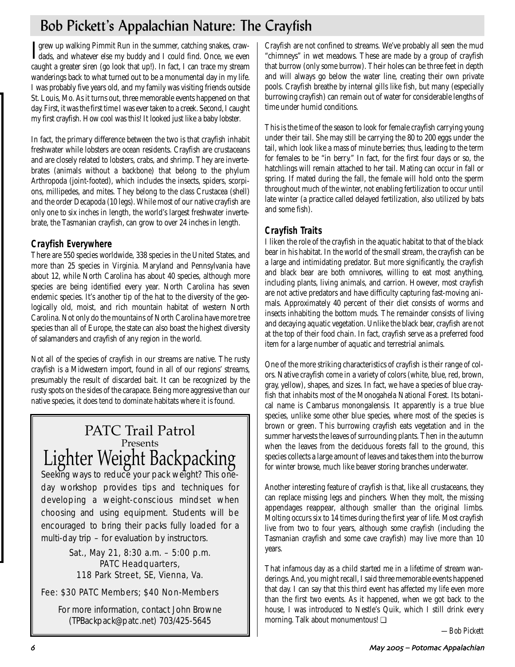## Bob Pickett's Appalachian Nature: The Crayfish

I grew up walking Pimmit Run in the summer, catching snakes, craw-<br>Ldads, and whatever else my buddy and I could find. Once, we even dads, and whatever else my buddy and I could find. Once, we even caught a greater siren (go look that up!). In fact, I can trace my stream wanderings back to what turned out to be a monumental day in my life. I was probably five years old, and my family was visiting friends outside St. Louis, Mo. As it turns out, three memorable events happened on that day. First, it was the first time I was ever taken to a creek. Second, I caught my first crayfish. How cool was this! It looked just like a baby lobster.

In fact, the primary difference between the two is that crayfish inhabit freshwater while lobsters are ocean residents. Crayfish are crustaceans and are closely related to lobsters, crabs, and shrimp. They are invertebrates (animals without a backbone) that belong to the phylum Arthropoda (joint-footed), which includes the insects, spiders, scorpions, millipedes, and mites. They belong to the class Crustacea (shell) and the order Decapoda (10 legs). While most of our native crayfish are only one to six inches in length, the world's largest freshwater invertebrate, the Tasmanian crayfish, can grow to over 24 inches in length.

## **Crayfish Everywhere**

There are 550 species worldwide, 338 species in the United States, and more than 25 species in Virginia. Maryland and Pennsylvania have about 12, while North Carolina has about 40 species, although more species are being identified every year. North Carolina has seven endemic species. It's another tip of the hat to the diversity of the geologically old, moist, and rich mountain habitat of western North Carolina. Not only do the mountains of North Carolina have more tree species than all of Europe, the state can also boast the highest diversity of salamanders and crayfish of any region in the world.

Not all of the species of crayfish in our streams are native. The rusty crayfish is a Midwestern import, found in all of our regions' streams, presumably the result of discarded bait. It can be recognized by the rusty spots on the sides of the carapace. Being more aggressive than our native species, it does tend to dominate habitats where it is found.

## PATC Trail Patrol Presents Lighter Weight Backpacking

Seeking ways to reduce your pack weight? This oneday workshop provides tips and techniques for developing a weight-conscious mindset when choosing and using equipment. Students will be encouraged to bring their packs fully loaded for a multi-day trip – for evaluation by instructors.

## Sat., May 21, 8:30 a.m. – 5:00 p.m. PATC Headquarters, 118 Park Street, SE, Vienna, Va.

## Fee: \$30 PATC Members; \$40 Non-Members

For more information, contact John Browne (TPBackpack@patc.net) 703/425-5645

Crayfish are not confined to streams. We've probably all seen the mud "chimneys" in wet meadows. These are made by a group of crayfish that burrow (only some burrow). Their holes can be three feet in depth and will always go below the water line, creating their own private pools. Crayfish breathe by internal gills like fish, but many (especially burrowing crayfish) can remain out of water for considerable lengths of time under humid conditions.

This is the time of the season to look for female crayfish carrying young under their tail. She may still be carrying the 80 to 200 eggs under the tail, which look like a mass of minute berries; thus, leading to the term for females to be "in berry." In fact, for the first four days or so, the hatchlings will remain attached to her tail. Mating can occur in fall or spring. If mated during the fall, the female will hold onto the sperm throughout much of the winter, not enabling fertilization to occur until late winter (a practice called delayed fertilization, also utilized by bats and some fish).

## **Crayfish Traits**

I liken the role of the crayfish in the aquatic habitat to that of the black bear in his habitat. In the world of the small stream, the crayfish can be a large and intimidating predator. But more significantly, the crayfish and black bear are both omnivores, willing to eat most anything, including plants, living animals, and carrion. However, most crayfish are not active predators and have difficulty capturing fast-moving animals. Approximately 40 percent of their diet consists of worms and insects inhabiting the bottom muds. The remainder consists of living and decaying aquatic vegetation. Unlike the black bear, crayfish are not at the top of their food chain. In fact, crayfish serve as a preferred food item for a large number of aquatic and terrestrial animals.

One of the more striking characteristics of crayfish is their range of colors. Native crayfish come in a variety of colors (white, blue, red, brown, gray, yellow), shapes, and sizes. In fact, we have a species of blue crayfish that inhabits most of the Monogahela National Forest. Its botanical name is Cambarus monongalensis. It apparently is a true blue species, unlike some other blue species, where most of the species is brown or green. This burrowing crayfish eats vegetation and in the summer harvests the leaves of surrounding plants. Then in the autumn when the leaves from the deciduous forests fall to the ground, this species collects a large amount of leaves and takes them into the burrow for winter browse, much like beaver storing branches underwater.

Another interesting feature of crayfish is that, like all crustaceans, they can replace missing legs and pinchers. When they molt, the missing appendages reappear, although smaller than the original limbs. Molting occurs six to 14 times during the first year of life. Most crayfish live from two to four years, although some crayfish (including the Tasmanian crayfish and some cave crayfish) may live more than 10 years.

That infamous day as a child started me in a lifetime of stream wanderings. And, you might recall, I said three memorable events happened that day. I can say that this third event has affected my life even more than the first two events. As it happened, when we got back to the house, I was introduced to Nestle's Quik, which I still drink every morning. Talk about monumentous! ❏

*—Bob Pickett*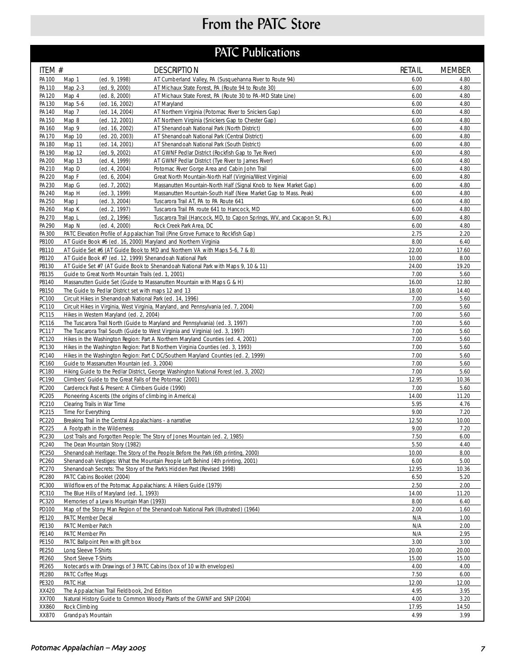# From the PATC Store

## PATC Publications

| ITEM #         |                                                                                                                                                               | <b>DESCRIPTION</b>                                                                                  | RETAIL        | <b>MEMBER</b> |
|----------------|---------------------------------------------------------------------------------------------------------------------------------------------------------------|-----------------------------------------------------------------------------------------------------|---------------|---------------|
| PA100          | (ed. 9, 1998)<br>Map 1                                                                                                                                        | AT Cumberland Valley, PA (Susquehanna River to Route 94)                                            | 6.00          | 4.80          |
| PA110          | Map 2-3<br>(ed. 9, 2000)                                                                                                                                      | AT Michaux State Forest, PA (Route 94 to Route 30)                                                  | 6.00          | 4.80          |
| PA120<br>PA130 | Map 4<br>(ed. 8, 2000)<br>Map 5-6<br>(ed. 16, 2002)                                                                                                           | AT Michaux State Forest, PA (Route 30 to PA-MD State Line)<br>AT Maryland                           | 6.00<br>6.00  | 4.80<br>4.80  |
| PA140          | Map 7<br>(ed. 14, 2004)                                                                                                                                       | AT Northern Virginia (Potomac River to Snickers Gap)                                                | 6.00          | 4.80          |
| PA150          | Map 8<br>(ed. 12, 2001)                                                                                                                                       | AT Northern Virginia (Snickers Gap to Chester Gap)                                                  | 6.00          | 4.80          |
| PA160          | Map 9<br>(ed. 16, 2002)                                                                                                                                       | AT Shenandoah National Park (North District)                                                        | 6.00          | 4.80          |
| PA170          | Map 10<br>(ed. 20, 2003)                                                                                                                                      | AT Shenandoah National Park (Central District)                                                      | 6.00          | 4.80          |
| PA180          | Map 11<br>(ed. 14, 2001)                                                                                                                                      | AT Shenandoah National Park (South District)                                                        | 6.00          | 4.80          |
| PA190          | Map 12<br>(ed. 9, 2002)                                                                                                                                       | AT GWNF Pedlar District (Rockfish Gap to Tye River)                                                 | 6.00          | 4.80          |
| PA200<br>PA210 | Map 13<br>(ed. 4, 1999)<br>Map D<br>(ed. 4, 2004)                                                                                                             | AT GWNF Pedlar District (Tye River to James River)<br>Potomac River Gorge Area and Cabin John Trail | 6.00<br>6.00  | 4.80<br>4.80  |
| PA220          | (ed. 6, 2004)<br>Map F                                                                                                                                        | Great North Mountain-North Half (Virginia/West Virginia)                                            | 6.00          | 4.80          |
| PA230          | (ed. 7, 2002)<br>Map G                                                                                                                                        | Massanutten Mountain-North Half (Signal Knob to New Market Gap)                                     | 6.00          | 4.80          |
| PA240          | (ed. 3, 1999)<br>Map H                                                                                                                                        | Massanutten Mountain-South Half (New Market Gap to Mass. Peak)                                      | 6.00          | 4.80          |
| PA250          | Map J<br>(ed. 3, 2004)                                                                                                                                        | Tuscarora Trail AT, PA to PA Route 641                                                              | 6.00          | 4.80          |
| PA260          | Map K<br>(ed. 2, 1997)                                                                                                                                        | Tuscarora Trail PA route 641 to Hancock, MD                                                         | 6.00          | 4.80          |
| PA270          | Map L<br>(ed. 2, 1996)                                                                                                                                        | Tuscarora Trail (Hancock, MD, to Capon Springs, WV, and Cacapon St. Pk.)                            | 6.00          | 4.80          |
| PA290          | Map N<br>(ed. 4, 2000)                                                                                                                                        | Rock Creek Park Area, DC                                                                            | 6.00          | 4.80          |
| PA300<br>PB100 | AT Guide Book #6 (ed. 16, 2000) Maryland and Northern Virginia                                                                                                | PATC Elevation Profile of Appalachian Trail (Pine Grove Furnace to Rockfish Gap)                    | 2.75<br>8.00  | 2.20<br>6.40  |
| PB110          |                                                                                                                                                               | AT Guide Set #6 (AT Guide Book to MD and Northern VA with Maps 5-6, 7 & 8)                          | 22.00         | 17.60         |
| PB120          | AT Guide Book #7 (ed. 12, 1999) Shenandoah National Park                                                                                                      |                                                                                                     | 10.00         | 8.00          |
| PB130          |                                                                                                                                                               | AT Guide Set #7 (AT Guide Book to Shenandoah National Park with Maps 9, 10 & 11)                    | 24.00         | 19.20         |
| PB135          | Guide to Great North Mountain Trails (ed. 1, 2001)                                                                                                            |                                                                                                     | 7.00          | 5.60          |
| PB140          | Massanutten Guide Set (Guide to Massanutten Mountain with Maps G & H)                                                                                         |                                                                                                     | 16.00         | 12.80         |
| PB150          | The Guide to Pedlar District set with maps 12 and 13                                                                                                          |                                                                                                     | 18.00         | 14.40         |
| PC100          | Circuit Hikes in Shenandoah National Park (ed. 14, 1996)                                                                                                      |                                                                                                     | 7.00          | 5.60          |
| PC110          | Circuit Hikes in Virginia, West Virginia, Maryland, and Pennsylvania (ed. 7, 2004)                                                                            |                                                                                                     | 7.00          | 5.60          |
| PC115          | Hikes in Western Maryland (ed. 2, 2004)                                                                                                                       |                                                                                                     | 7.00<br>7.00  | 5.60<br>5.60  |
| PC116<br>PC117 | The Tuscarora Trail North (Guide to Maryland and Pennsylvania) (ed. 3, 1997)<br>The Tuscarora Trail South (Guide to West Virginia and Virginia) (ed. 3, 1997) |                                                                                                     | 7.00          | 5.60          |
| PC120          |                                                                                                                                                               | Hikes in the Washington Region: Part A Northern Maryland Counties (ed. 4, 2001)                     | 7.00          | 5.60          |
| PC130          | Hikes in the Washington Region: Part B Northern Virginia Counties (ed. 3, 1993)                                                                               |                                                                                                     | 7.00          | 5.60          |
| PC140          |                                                                                                                                                               | Hikes in the Washington Region: Part C DC/Southern Maryland Counties (ed. 2, 1999)                  | 7.00          | 5.60          |
| PC160          | Guide to Massanutten Mountain (ed. 3, 2004)                                                                                                                   |                                                                                                     | 7.00          | 5.60          |
| PC180          | Hiking Guide to the Pedlar District, George Washington National Forest (ed. 3, 2002)                                                                          |                                                                                                     |               | 5.60          |
| PC190          | Climbers' Guide to the Great Falls of the Potomac (2001)                                                                                                      |                                                                                                     | 12.95<br>7.00 | 10.36         |
| PC200<br>PC205 | Carderock Past & Present: A Climbers Guide (1990)                                                                                                             |                                                                                                     |               | 5.60<br>11.20 |
| PC210          | Pioneering Ascents (the origins of climbing in America)                                                                                                       |                                                                                                     |               | 4.76          |
| PC215          | Clearing Trails in War Time<br>Time For Everything                                                                                                            |                                                                                                     |               | 7.20          |
| PC220          | Breaking Trail in the Central Appalachians - a narrative                                                                                                      |                                                                                                     |               | 10.00         |
| PC225          | A Footpath in the Wilderness                                                                                                                                  |                                                                                                     | 9.00          | 7.20          |
| PC230          | Lost Trails and Forgotten People: The Story of Jones Mountain (ed. 2, 1985)                                                                                   |                                                                                                     | 7.50          | 6.00          |
| PC240          | The Dean Mountain Story (1982)                                                                                                                                |                                                                                                     | 5.50          | 4.40          |
| PC250          |                                                                                                                                                               | Shenandoah Heritage: The Story of the People Before the Park (6th printing, 2000)                   | 10.00         | 8.00          |
| PC260          |                                                                                                                                                               | Shenandoah Vestiges: What the Mountain People Left Behind (4th printing, 2001)                      | 6.00          | 5.00          |
| PC270<br>PC280 | Shenandoah Secrets: The Story of the Park's Hidden Past (Revised 1998)<br>PATC Cabins Booklet (2004)                                                          |                                                                                                     | 12.95<br>6.50 | 10.36<br>5.20 |
| PC300          | Wildflowers of the Potomac Appalachians: A Hikers Guide (1979)                                                                                                |                                                                                                     | 2.50          | 2.00          |
| PC310          | The Blue Hills of Maryland (ed. 1, 1993)                                                                                                                      |                                                                                                     | 14.00         | 11.20         |
| PC320          | Memories of a Lewis Mountain Man (1993)                                                                                                                       |                                                                                                     | 8.00          | 6.40          |
| PD100          |                                                                                                                                                               | Map of the Stony Man Region of the Shenandoah National Park (Illustrated) (1964)                    | 2.00          | 1.60          |
| PE120          | PATC Member Decal                                                                                                                                             |                                                                                                     | N/A           | 1.00          |
| PE130          | PATC Member Patch                                                                                                                                             |                                                                                                     | N/A           | 2.00          |
| PE140          | PATC Member Pin                                                                                                                                               |                                                                                                     | N/A           | 2.95          |
| PE150<br>PE250 | PATC Ballpoint Pen with gift box<br>Long Sleeve T-Shirts                                                                                                      |                                                                                                     | 3.00<br>20.00 | 3.00<br>20.00 |
| PE260          | Short Sleeve T-Shirts                                                                                                                                         |                                                                                                     | 15.00         | 15.00         |
| PE265          | Notecards with Drawings of 3 PATC Cabins (box of 10 with envelopes)                                                                                           |                                                                                                     | 4.00          | 4.00          |
| <b>PE280</b>   | PATC Coffee Mugs                                                                                                                                              |                                                                                                     | 7.50          | 6.00          |
| PE320          | PATC Hat                                                                                                                                                      |                                                                                                     | 12.00         | 12.00         |
| XX420          | The Appalachian Trail Fieldbook, 2nd Edition                                                                                                                  |                                                                                                     | 4.95          | 3.95          |
| XX700          | Natural History Guide to Common Woody Plants of the GWNF and SNP (2004)                                                                                       |                                                                                                     | 4.00          | 3.20          |
| XX860          | Rock Climbing                                                                                                                                                 |                                                                                                     | 17.95<br>4.99 | 14.50         |
| XX870          | Grandpa's Mountain                                                                                                                                            |                                                                                                     |               | 3.99          |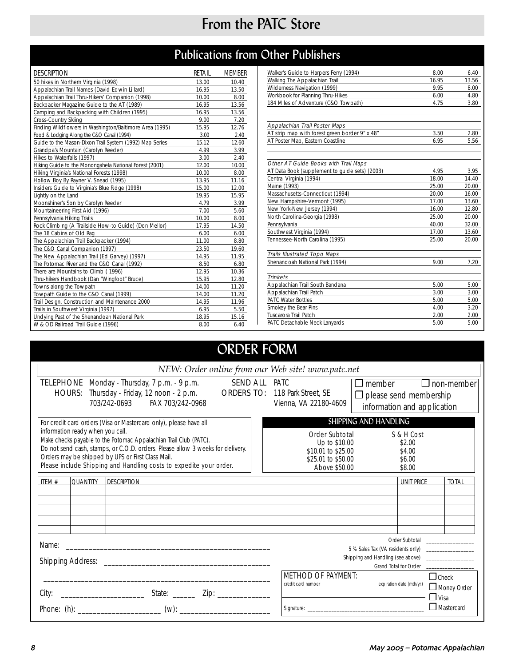## From the PATC Store

## Publications from Other Publishers

| <b>DESCRIPTION</b>                                      | RETAIL | <b>MEMBER</b> |
|---------------------------------------------------------|--------|---------------|
| 50 hikes in Northern Virginia (1998)                    | 13.00  | 10.40         |
| Appalachian Trail Names (David Edwin Lillard)           | 16.95  | 13.50         |
| Appalachian Trail Thru-Hikers' Companion (1998)         | 10.00  | 8.00          |
| Backpacker Magazine Guide to the AT (1989)              | 16.95  | 13.56         |
| Camping and Backpacking with Children (1995)            | 16.95  | 13.56         |
| <b>Cross-Country Skiing</b>                             | 9.00   | 7.20          |
| Finding Wildflowers in Washington/Baltimore Area (1995) | 15.95  | 12.76         |
| Food & Lodging Along the C&O Canal (1994)               | 3.00   | 2.40          |
| Guide to the Mason-Dixon Trail System (1992) Map Series | 15.12  | 12.60         |
| Grandpa's Mountain (Carolyn Reeder)                     | 4.99   | 3.99          |
| Hikes to Waterfalls (1997)                              | 3.00   | 2.40          |
| Hiking Guide to the Monongahela National Forest (2001)  | 12.00  | 10.00         |
| Hiking Virginia's National Forests (1998)               | 10.00  | 8.00          |
| Hollow Boy By Rayner V. Snead (1995)                    | 13.95  | 11.16         |
| Insiders Guide to Virginia's Blue Ridge (1998)          | 15.00  | 12.00         |
| Lightly on the Land                                     | 19.95  | 15.95         |
| Moonshiner's Son by Carolyn Reeder                      | 4.79   | 3.99          |
| Mountaineering First Aid (1996)                         | 7.00   | 5.60          |
| Pennsylvania Hiking Trails                              | 10.00  | 8.00          |
| Rock Climbing (A Trailside How-to Guide) (Don Mellor)   | 17.95  | 14.50         |
| The 18 Cabins of Old Rag                                | 6.00   | 6.00          |
| The Appalachian Trail Backpacker (1994)                 | 11.00  | 8.80          |
| The C&O Canal Companion (1997)                          | 23.50  | 19.60         |
| The New Appalachian Trail (Ed Garvey) (1997)            | 14.95  | 11.95         |
| The Potomac River and the C&O Canal (1992)              | 8.50   | 6.80          |
| There are Mountains to Climb (1996)                     | 12.95  | 10.36         |
| Thru-hikers Handbook (Dan "Wingfoot" Bruce)             | 15.95  | 12.80         |
| Towns along the Towpath                                 | 14.00  | 11.20         |
| Towpath Guide to the C&O Canal (1999)                   | 14.00  | 11.20         |
| Trail Design, Construction and Maintenance 2000         | 14.95  | 11.96         |
| Trails in Southwest Virginia (1997)                     | 6.95   | 5.50          |
| Undying Past of the Shenandoah National Park            | 18.95  | 15.16         |
| W & OD Railroad Trail Guide (1996)                      | 8.00   | 6.40          |

| Walker's Guide to Harpers Ferry (1994)         | 8.00  | 6.40  |
|------------------------------------------------|-------|-------|
| Walking The Appalachian Trail                  | 16.95 | 13.56 |
| Wilderness Navigation (1999)                   | 9.95  | 8.00  |
| Workbook for Planning Thru-Hikes               | 6.00  | 4.80  |
| 184 Miles of Adventure (C&O Towpath)           | 4.75  | 3.80  |
|                                                |       |       |
| Appalachian Trail Poster Maps                  |       |       |
| AT strip map with forest green border 9" x 48" | 3.50  | 2.80  |
| AT Poster Map, Eastern Coastline               | 6.95  | 5.56  |
|                                                |       |       |
| Other AT Guide Books with Trail Maps           |       |       |
| AT Data Book (supplement to guide sets) (2003) | 4.95  | 3.95  |
| Central Virginia (1994)                        | 18.00 | 14.40 |
| Maine (1993)                                   | 25.00 | 20.00 |
| Massachusetts-Connecticut (1994)               | 20.00 | 16.00 |
| New Hampshire-Vermont (1995)                   | 17.00 | 13.60 |
| New York-New Jersey (1994)                     | 16.00 | 12.80 |
| North Carolina-Georgia (1998)                  | 25.00 | 20.00 |
| Pennsylvania                                   | 40.00 | 32.00 |
| Southwest Virginia (1994)                      | 17.00 | 13.60 |
| Tennessee-North Carolina (1995)                | 25.00 | 20.00 |
| <b>Trails Illustrated Topo Maps</b>            |       |       |
| Shenandoah National Park (1994)                | 9.00  | 7.20  |
| <b>Trinkets</b>                                |       |       |
| Appalachian Trail South Bandana                | 5.00  | 5.00  |
| Appalachian Trail Patch                        | 3.00  | 3.00  |
| <b>PATC Water Bottles</b>                      | 5.00  | 5.00  |
| Smokey the Bear Pins                           | 4.00  | 3.20  |
| Tuscarora Trail Patch                          | 2.00  | 2.00  |
| PATC Detachable Neck Lanyards                  | 5.00  | 5.00  |

## ORDER FORM

| NEW: Order online from our Web site! www.patc.net                                                                                                                                                                                                                                                                                                                                       |                                                                                                                                                                             |  |  |  |  |
|-----------------------------------------------------------------------------------------------------------------------------------------------------------------------------------------------------------------------------------------------------------------------------------------------------------------------------------------------------------------------------------------|-----------------------------------------------------------------------------------------------------------------------------------------------------------------------------|--|--|--|--|
| <b>SEND ALL PATC</b><br><b>TELEPHONE</b> Monday - Thursday, 7 p.m. - 9 p.m.<br><b>ORDERS TO:</b><br>HOURS: Thursday - Friday, 12 noon - 2 p.m.<br>703/242-0693<br>FAX 703/242-0968                                                                                                                                                                                                      | $\Box$ member<br>$\Box$ non-member<br>118 Park Street, SE<br>$\Box$ please send membership<br>Vienna, VA 22180-4609<br>information and application                          |  |  |  |  |
| For credit card orders (Visa or Mastercard only), please have all<br>information ready when you call.<br>Make checks payable to the Potomac Appalachian Trail Club (PATC).<br>Do not send cash, stamps, or C.O.D. orders. Please allow 3 weeks for delivery.<br>Orders may be shipped by UPS or First Class Mail.<br>Please include Shipping and Handling costs to expedite your order. | SHIPPING AND HANDLING<br>S & H Cost<br>Order Subtotal<br>Up to \$10.00<br>\$2.00<br>\$10.01 to \$25.00<br>\$4.00<br>\$25.01 to \$50.00<br>\$6.00<br>\$8.00<br>Above \$50.00 |  |  |  |  |
| ITEM $#$<br><b>QUANTITY</b><br><b>DESCRIPTION</b>                                                                                                                                                                                                                                                                                                                                       | <b>UNIT PRICE</b><br><b>TOTAI</b>                                                                                                                                           |  |  |  |  |
| Name:<br>the control of the control of the control of the control of the control of the control of                                                                                                                                                                                                                                                                                      | Order Subtotal _______________<br>5 % Sales Tax (VA residents only) _________________<br><b>Grand Total for Order</b><br><b>METHOD OF PAYMENT:</b><br>$\Box$ Check          |  |  |  |  |
| City:                                                                                                                                                                                                                                                                                                                                                                                   | expiration date (mth/yr.)<br>credit card number<br>Money Order<br>$\Box$ Visa<br>Mastercard                                                                                 |  |  |  |  |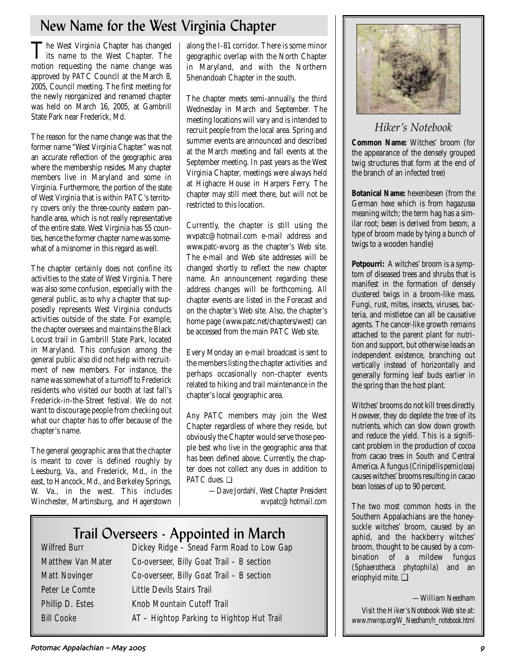## New Name for the West Virginia Chapter

The West Virginia Chapter has changed<br>its name to the West Chapter. The motion requesting the name change was approved by PATC Council at the March 8, 2005, Council meeting. The first meeting for the newly reorganized and renamed chapter was held on March 16, 2005, at Gambrill State Park near Frederick, Md.

The reason for the name change was that the former name "West Virginia Chapter" was not an accurate reflection of the geographic area where the membership resides. Many chapter members live in Maryland and some in Virginia. Furthermore, the portion of the state of West Virginia that is within PATC's territory covers only the three-county eastern panhandle area, which is not really representative of the entire state. West Virginia has 55 counties, hence the former chapter name was somewhat of a misnomer in this regard as well.

The chapter certainly does not confine its activities to the state of West Virginia. There was also some confusion, especially with the general public, as to why a chapter that supposedly represents West Virginia conducts activities outside of the state. For example, the chapter oversees and maintains the Black Locust trail in Gambrill State Park, located in Maryland. This confusion among the general public also did not help with recruitment of new members. For instance, the name was somewhat of a turnoff to Frederick residents who visited our booth at last fall's Frederick-in-the-Street festival. We do not want to discourage people from checking out what our chapter has to offer because of the chapter's name.

The general geographic area that the chapter is meant to cover is defined roughly by Leesburg, Va., and Frederick, Md., in the east, to Hancock, Md., and Berkeley Springs, W. Va., in the west. This includes Winchester, Martinsburg, and Hagerstown

along the I-81 corridor. There is some minor geographic overlap with the North Chapter in Maryland, and with the Northern Shenandoah Chapter in the south.

The chapter meets semi-annually, the third Wednesday in March and September. The meeting locations will vary and is intended to recruit people from the local area. Spring and summer events are announced and described at the March meeting and fall events at the September meeting. In past years as the West Virginia Chapter, meetings were always held at Highacre House in Harpers Ferry. The chapter may still meet there, but will not be restricted to this location.

Currently, the chapter is still using the wvpatc@hotmail.com e-mail address and www.patc-wv.org as the chapter's Web site. The e-mail and Web site addresses will be changed shortly to reflect the new chapter name. An announcement regarding these address changes will be forthcoming. All chapter events are listed in the Forecast and on the chapter's Web site. Also, the chapter's home page (www.patc.net/chapters/west) can be accessed from the main PATC Web site.

Every Monday an e-mail broadcast is sent to the members listing the chapter activities and perhaps occasionally non-chapter events related to hiking and trail maintenance in the chapter's local geographic area.

Any PATC members may join the West Chapter regardless of where they reside, but obviously the Chapter would serve those people best who live in the geographic area that has been defined above. Currently, the chapter does not collect any dues in addition to PATC dues. ❏

> *—Dave Jordahl, West Chapter President wvpatc@hotmail.com*

# **Trail Overseers - Appointed in March**<br>Dickey Ridge – Snead Farm Road to Low Ga

Dickey Ridge – Snead Farm Road to Low Gap Matthew Van Mater Co-overseer, Billy Goat Trail – B section Matt Novinger Co-overseer, Billy Goat Trail – B section Peter Le Comte Little Devils Stairs Trail Phillip D. Estes Knob Mountain Cutoff Trail Bill Cooke AT – Hightop Parking to Hightop Hut Trail



## *Hiker's Notebook*

**Common Name:** Witches' broom (for the appearance of the densely grouped twig structures that form at the end of the branch of an infected tree)

**Botanical Name:** hexenbesen (from the German *hexe* which is from *hagazussa* meaning witch; the term hag has a similar root; *besen* is derived from *besom*, a type of broom made by tying a bunch of twigs to a wooden handle)

**Potpourri:** A witches' broom is a symptom of diseased trees and shrubs that is manifest in the formation of densely clustered twigs in a broom-like mass. Fungi, rust, mites, insects, viruses, bacteria, and mistletoe can all be causative agents. The cancer-like growth remains attached to the parent plant for nutrition and support, but otherwise leads an independent existence, branching out vertically instead of horizontally and generally forming leaf buds earlier in the spring than the host plant.

Witches' brooms do not kill trees directly. However, they do deplete the tree of its nutrients, which can slow down growth and reduce the yield. This is a significant problem in the production of cocoa from cacao trees in South and Central America. A fungus (*Crinipellis perniciosa*) causes witches' brooms resulting in cacao bean losses of up to 90 percent.

The two most common hosts in the Southern Appalachians are the honeysuckle witches' broom, caused by an aphid, and the hackberry witches' broom, thought to be caused by a combination of a mildew fungus (*Sphaerotheca phytophila*) and an eriophyid mite. ❏

*—William Needham*

*Visit the Hiker's Notebook Web site at: www.mwrop.org/W\_Needham/h\_notebook.html*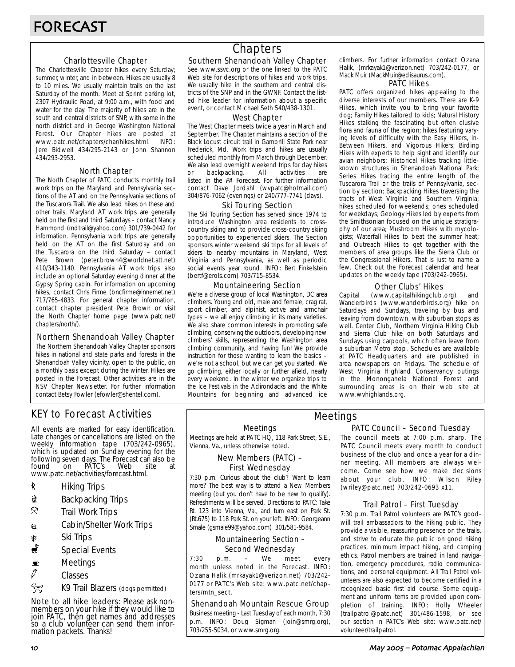### Charlottesville Chapter

The Charlottesville Chapter hikes every Saturday; summer, winter, and in between. Hikes are usually 8 to 10 miles. We usually maintain trails on the last Saturday of the month. Meet at Sprint parking lot, 2307 Hydraulic Road, at 9:00 a.m., with food and water for the day. The majority of hikes are in the south and central districts of SNP, with some in the north district and in George Washington National Forest. Our Chapter hikes are posted at www.patc.net/chapters/char/hikes.html. INFO: Jere Bidwell 434/295-2143 or John Shannon 434/293-2953.

### North Chapter

The North Chapter of PATC conducts monthly trail work trips on the Maryland and Pennsylvania sections of the AT and on the Pennsylvania sections of the Tuscarora Trail. We also lead hikes on these and other trails. Maryland AT work trips are generally held on the first and third Saturdays – contact Nancy Hammond (mdtrail@yahoo.com) 301/739-0442 for information. Pennsylvania work trips are generally held on the AT on the first Saturday and on the Tuscarora on the third Saturday – contact Pete Brown (peter.brown4@worldnet.att.net) 410/343-1140. Pennsylvania AT work trips also include an optional Saturday evening dinner at the Gypsy Spring cabin. For information on upcoming hikes, contact Chris Firme (bncfirme@innernet.net) 717/765-4833. For general chapter information, contact chapter president Pete Brown or visit the North Chapter home page (www.patc.net/ chapters/north/).

### Northern Shenandoah Valley Chapter

The Northern Shenandoah Valley Chapter sponsors hikes in national and state parks and forests in the Shenandoah Valley vicinity, open to the public, on a monthly basis except during the winter. Hikes are posted in the Forecast. Other activities are in the NSV Chapter Newsletter. For further information contact Betsy Fowler (efowler@shentel.com).

## KEY to Forecast Activities

All events are marked for easy identification. Late changes or cancellations are listed on the weekly information tape (703/242-0965), which is updated on Sunday evening for the following seven days. The Forecast can also be found on PATC's Web site at www.patc.net/activities/forecast.html.

- **\*** Hiking Trips
- \* Backpacking Trips
- $\mathcal{R}$  Trail Work Trips
- **i** Cabin/Shelter Work Trips
- **A** Ski Trips
- Special Events
- $\blacksquare$  Meetings
- $\varnothing$  Classes
- **Azy** K9 Trail Blazers (dogs permitted)

Note to all hike leaders: Please ask nonmembers on your hike if they would like to join PATC, then get names and addresses so a club volunteer can send them information packets. Thanks!

## **Chapters**

### Southern Shenandoah Valley Chapter

See www.ssvc.org or the one linked to the PATC Web site for descriptions of hikes and work trips. We usually hike in the southern and central districts of the SNP and in the GWNF. Contact the listed hike leader for information about a specific event, or contact Michael Seth 540/438-1301.

### West Chapter

The West Chapter meets twice a year in March and September. The Chapter maintains a section of the Black Locust circuit trail in Gambrill State Park near Frederick, Md. Work trips and hikes are usually scheduled monthly from March through December. We also lead overnight weekend trips for day hikes or backpacking. All activities are listed in the PA Forecast. For further information contact Dave Jordahl (wvpatc@hotmail.com) 304/876-7062 (evenings) or 240/777-7741 (days).

### Ski Touring Section

The Ski Touring Section has served since 1974 to introduce Washington area residents to crosscountry skiing and to provide cross-country skiing opportunities to experienced skiers. The Section sponsors winter weekend ski trips for all levels of skiers to nearby mountains in Maryland, West Virginia and Pennsylvania, as well as periodic social events year round. INFO: Bert Finkelstein (bertf@erols.com) 703/715-8534.

### Mountaineering Section

We're a diverse group of local Washington, DC area climbers. Young and old, male and female, crag rat, sport climber, and alpinist, active and armchair types – we all enjoy climbing in its many varieties. We also share common interests in promoting safe climbing, conserving the outdoors, developing new climbers' skills, representing the Washington area climbing community, and having fun! We provide instruction for those wanting to learn the basics – we're not a school, but we can get you started. We go climbing, either locally or further afield, nearly every weekend. In the winter we organize trips to the Ice Festivals in the Adirondacks and the White Mountains for beginning and advanced ice climbers. For further information contact Ozana Halik, (mrkayak1@verizon.net) 703/242-0177, or Mack Muir (MackMuir@edisaurus.com).

### PATC Hikes

PATC offers organized hikes appealing to the diverse interests of our members. There are K-9 Hikes, which invite you to bring your favorite dog; Family Hikes tailored to kids; Natural History Hikes stalking the fascinating but often elusive flora and fauna of the region; hikes featuring varying levels of difficulty with the Easy Hikers, In-Between Hikers, and Vigorous Hikers; Birding Hikes with experts to help sight and identify our avian neighbors; Historical Hikes tracking littleknown structures in Shenandoah National Park; Series Hikes tracing the entire length of the Tuscarora Trail or the trails of Pennsylvania, section by section; Backpacking Hikes traversing the tracts of West Virginia and Southern Virginia; hikes scheduled for weekends; ones scheduled for weekdays; Geology Hikes led by experts from the Smithsonian focused on the unique stratigraphy of our area; Mushroom Hikes with mycologists; Waterfall Hikes to beat the summer heat; and Outreach Hikes to get together with the members of area groups like the Sierra Club or the Congressional Hikers. That is just to name a few. Check out the Forecast calendar and hear updates on the weekly tape (703/242-0965).

### Other Clubs' Hikes

Capital (www.capitalhikingclub.org) and Wanderbirds (www.wanderbirds.org) hike on Saturdays and Sundays, traveling by bus and leaving from downtown, with suburban stops as well. Center Club, Northern Virginia Hiking Club and Sierra Club hike on both Saturdays and Sundays using carpools, which often leave from a suburban Metro stop. Schedules are available at PATC Headquarters and are published in area newspapers on Fridays. The schedule of West Virginia Highland Conservancy outings in the Monongahela National Forest and surrounding areas is on their web site at www.wvhighlands.org.

### Meetings

Meetings are held at PATC HQ, 118 Park Street, S.E., Vienna, Va., unless otherwise noted.

### New Members (PATC) – First Wednesday

7:30 p.m. Curious about the club? Want to learn more? The best way is to attend a New Members meeting (but you don't have to be new to qualify). Refreshments will be served. Directions to PATC: Take Rt. 123 into Vienna, Va., and turn east on Park St. (Rt.675) to 118 Park St. on your left. INFO: Georgeann Smale (gsmale99@yahoo.com) 301/581-9584.

### Mountaineering Section – Second Wednesday

7:30 p.m. – We meet every month unless noted in the Forecast. INFO: Ozana Halik (mrkayak1@verizon.net) 703/242- 0177 or PATC's Web site: www.patc.net/chapters/mtn\_sect.

### Shenandoah Mountain Rescue Group

Business meeting - Last Tuesday of each month, 7:30 p.m. INFO: Doug Sigman (join@smrg.org), 703/255-5034, or www.smrg.org.

### PATC Council – Second Tuesday Meetings

The council meets at 7:00 p.m. sharp. The PATC Council meets every month to conduct business of the club and once a year for a dinner meeting. All members are always welcome. Come see how we make decisions about your club. INFO: Wilson Riley (wriley@patc.net) 703/242-0693 x11.

### Trail Patrol – First Tuesday

7:30 p.m. Trail Patrol volunteers are PATC's goodwill trail ambassadors to the hiking public. They provide a visible, reassuring presence on the trails, and strive to educate the public on good hiking practices, minimum impact hiking, and camping ethics. Patrol members are trained in land navigation, emergency procedures, radio communications, and personal equipment. All Trail Patrol volunteers are also expected to become certified in a recognized basic first aid course. Some equipment and uniform items are provided upon completion of training. INFO: Holly Wheeler (trailpatrol@patc.net) 301/486-1598, or see our section in PATC's Web site: www.patc.net/ volunteer/trailpatrol.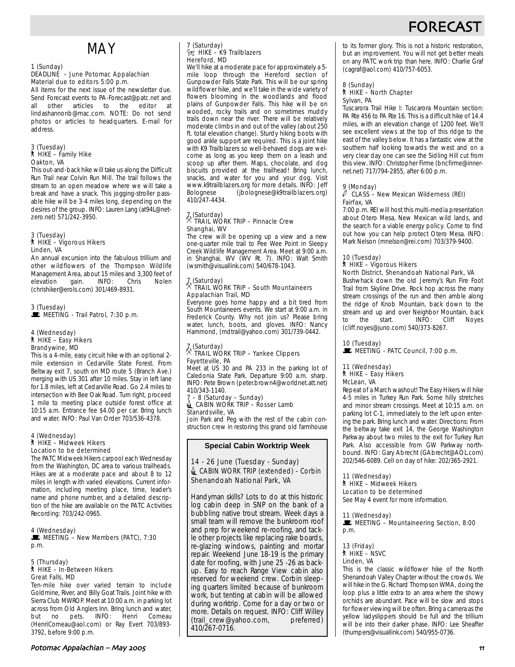## FORECAS

## MAY

### 1 (Sunday)

### DEADLINE – June Potomac Appalachian Material due to editors 5:00 p.m.

All items for the next issue of the newsletter due. Send Forecast events to PA-Forecast@patc.net and all other articles to the editor at lindashannonb@mac.com. NOTE: Do not send photos or articles to headquarters. E-mail for address.

## 3 (Tuesday) ` HIKE – Family Hike Oakton, VA

This out-and-back hike will take us along the Difficult Run Trail near Colvin Run Mill. The trail follows the stream to an open meadow where we will take a break and have a snack. This jogging-stroller passable hike will be 3-4 miles long, depending on the desires of the group. INFO: Lauren Lang (at94L@netzero.net) 571/242-3950.

#### 3 (Tuesday) ` HIKE – Vigorous Hikers Linden, VA

An annual excursion into the fabulous trillium and other wildflowers of the Thompson Wildlife Management Area, about 15 miles and 3,300 feet of elevation gain. INFO: Chris Nolen (chrishiker@erols.com) 301/469-8931.

3 (Tuesday)<br>■ MEETING - Trail Patrol, 7:30 p.m.

#### 4 (Wednesday) ` HIKE – Easy Hikers Brandywine, MD

This is a 4-mile, easy circuit hike with an optional 2 mile extension in Cedarville State Forest. From Beltway exit 7, south on MD route 5 (Branch Ave.) merging with US 301 after 10 miles. Stay in left lane for 1.8 miles, left at Cedarville Road. Go 2.4 miles to intersection with Bee Oak Road. Turn right, proceed 1 mile to meeting place outside forest office at 10:15 a.m. Entrance fee \$4.00 per car. Bring lunch and water. INFO: Paul Van Order 703/536-4378.

### 4 (Wednesday) ` HIKE – Midweek Hikers Location to be determined

The PATC Midweek Hikers carpool each Wednesday from the Washington, DC area to various trailheads. Hikes are at a moderate pace and about 8 to 12 miles in length with varied elevations. Current information, including meeting place, time, leader's name and phone number, and a detailed description of the hike are available on the PATC Activities Recording: 703/242-0965.

4 (Wednesday)  $\mathbf{\mathbf{\mathbf{\mathbb{E}}}}$  MEETING – New Members (PATC), 7:30 p.m.

### 5 (Thursday) ` HIKE – In-Between Hikers Great Falls, MD

Ten-mile hike over varied terrain to include Goldmine, River, and Billy Goat Trails. Joint hike with Sierra Club MWROP. Meet at 10:00 a.m. in parking lot across from Old Anglers Inn. Bring lunch and water,<br>but no pets. INFO: Henri Comeau but no pets. INFO: Henri Comeau (HenriComeau@aol.com) or Ray Evert 703/893- 3792, before 9:00 p.m.

#### 7 (Saturday)  $\hat{}$ z $\gamma$  HIKE – K9 Trailblazers Hereford, MD

We'll hike at a moderate pace for approximately a 5 mile loop through the Hereford section of Gunpowder Falls State Park. This will be our spring wildflower hike, and we'll take in the wide variety of flowers blooming in the woodlands and flood plains of Gunpowder Falls. This hike will be on wooded, rocky trails and on sometimes muddy trails down near the river. There will be relatively moderate climbs in and out of the valley (about 250 ft. total elevation change). Sturdy hiking boots with good ankle support are required. This is a joint hike with K9 Trailblazers so well-behaved dogs are welcome as long as you keep them on a leash and scoop up after them. Maps, chocolate, and dog biscuits provided at the trailhead! Bring lunch, snacks, and water for you and your dog. Visit www.k9trailblazers.org for more details. INFO: Jeff<br>Bolognese (jbolognese@k9trailblazers.org) (jbolognese@k9trailblazers.org) 410/247-4434.

### 7 (Saturday) . TRAIL WORK TRIP – Pinnacle Crew Shanghai, WV

The crew will be opening up a view and a new one-quarter mile trail to Pee Wee Point in Sleepy Creek Wildlife Management Area. Meet at 9:00 a.m. in Shanghai, WV (WV Rt. 7). INFO: Walt Smith (wsmith@visuallink.com) 540/678-1043.

### 7 (Saturday) . TRAIL WORK TRIP – South Mountaineers Appalachian Trail, MD

Everyone goes home happy and a bit tired from South Mountaineers events. We start at 9:00 a.m. in Frederick County. Why not join us? Please bring water, lunch, boots, and gloves. INFO: Nancy Hammond, (mdtrail@yahoo.com) 301/739-0442.

### 7 (Saturday) . TRAIL WORK TRIP – Yankee Clippers Fayetteville, PA

Meet at US 30 and PA 233 in the parking lot of Caledonia State Park. Departure 9:00 a.m. sharp. INFO: Pete Brown (peter.brown4@worldnet.att.net) 410/343-1140.

7 – 8 (Saturday – Sunday)<br>2 – 8 (Saturday – Sunday)<br>2 CABIN WORK TRIP – Rosser Lamb Stanardsville, VA

Join Park and Peg with the rest of the cabin construction crew in restoring this grand old farmhouse

### **Special Cabin Worktrip Week**

### 14 - 26 June (Tuesday - Sunday) △ CABIN WORK TRIP (extended) - Corbin Shenandoah National Park, VA

Handyman skills? Lots to do at this historic log cabin deep in SNP on the bank of a bubbling native trout stream. Week days a small team will remove the bunkroom roof and prep for weekend re-roofing, and tackle other projects like replacing rake boards, re-glazing windows, painting and mortar repair. Weekend June 18-19 is the primary date for roofing, with June 25 -26 as backup. Easy to reach Range View cabin also reserved for weekend crew. Corbin sleeping quarters limited because of bunkroom work, but tenting at cabin will be allowed during worktrip. Come for a day or two or more. Details on request. INFO: Cliff Willey (trail\_crew@yahoo.com, preferred) 410/267-0716.

to its former glory. This is not a historic restoration, but an improvement. You will not get better meals on any PATC work trip than here. INFO: Charlie Graf (cagraf@aol.com) 410/757-6053.

### 8 (Sunday)

#### ` HIKE – North Chapter Sylvan, PA

Tuscarora Trail Hike I: Tuscarora Mountain section: PA Rte 456 to PA Rte 16. This is a difficult hike of 14.4 miles, with an elevation change of 1200 feet. We'll see excellent views at the top of this ridge to the east of the valley below. It has a fantastic view at the southern half looking towards the west and on a very clear day one can see the Sidling Hill cut from this view. INFO: Christopher Firme (bncfirme@innernet.net) 717/794-2855, after 6:00 p.m.

### 9 (Monday)

### $\ell$  CLASS – New Mexican Wilderness (REI) Fairfax, VA

7:00 p.m. REI will host this multi-media presentation about Otero Mesa, New Mexican wild lands, and the search for a viable energy policy. Come to find out how you can help protect Otero Mesa. INFO: Mark Nelson (mnelson@rei.com) 703/379-9400.

### 10 (Tuesday) ` HIKE – Vigorous Hikers

North District, Shenandoah National Park, VA Bushwhack down the old Jeremy's Run Fire Foot Trail from Skyline Drive. Rock hop across the many stream crossings of the run and then amble along the ridge of Knob Mountain, back down to the stream and up and over Neighbor Mountain, back to the start. INFO: Cliff Noyes (cliff.noyes@juno.com) 540/373-8267.

10 (Tuesday)<br>■ MEETING - PATC Council, 7:00 p.m.

### 11 (Wednesday)

### ` HIKE – Easy Hikers

McLean, VA

Repeat of a March washout! The Easy Hikers will hike 4-5 miles in Turkey Run Park. Some hilly stretches and minor stream crossings. Meet at 10:15 a.m. on parking lot C-1, immediately to the left upon entering the park. Bring lunch and water. Directions: From the beltway take exit 14, the George Washington Parkway about two miles to the exit for Turkey Run Park. Also accessible from GW Parkway northbound. INFO: Gary Abrecht (GAbrecht@AOL.com) 202/546-6089. Cell on day of hike: 202/365-2921.

### 11 (Wednesday) ` HIKE – Midweek Hikers Location to be determined

See May 4 event for more information.

### 11 (Wednesday)

MEETING – Mountaineering Section, 8:00 p.m.

#### 13 (Friday) ` HIKE – NSVC Linden, VA

This is the classic wildflower hike of the North Shenandoah Valley Chapter without the crowds. We will hike in the G. Richard Thompson WMA, doing the loop plus a little extra to an area where the showy orchids are abundant. Pace will be slow and stops for flower viewing will be often. Bring a camera as the yellow ladyslippers should be full and the trillium will be into their darker phase. INFO: Lee Sheaffer (thumpers@visuallink.com) 540/955-0736.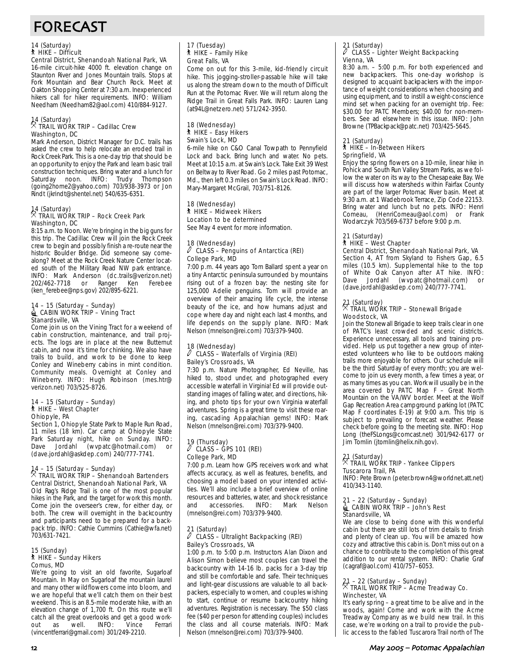# FORECAST

## 14 (Saturday) ` HIKE – Difficult

Central District, Shenandoah National Park, VA 16-mile circuit-hike 4000 ft. elevation change on Staunton River and Jones Mountain trails. Stops at Fork Mountain and Bear Church Rock. Meet at Oakton Shopping Center at 7:30 a.m. Inexperienced hikers call for hiker requirements. INFO: William Needham (Needham82@aol.com) 410/884-9127.

### 14 (Saturday) . TRAIL WORK TRIP – Cadillac Crew Washington, DC

Mark Anderson, District Manager for D.C. trails has asked the crew to help relocate an eroded trail in Rock Creek Park. This is a one-day trip that should be an opportunity to enjoy the Park and learn basic trail construction techniques. Bring water and a lunch for Saturday noon. INFO: Trudy Thompson (going2home2@yahoo.com) 703/938-3973 or Jon Rindt (jkrindt@shentel.net) 540/635-6351.

## 14 (Saturday) . TRAIL WORK TRIP – Rock Creek Park Washington, DC

8:15 a.m. to Noon. We're bringing in the big guns for this trip. The Cadillac Crew will join the Rock Creek crew to begin and possibly finish a re-route near the historic Boulder Bridge. Did someone say comealong? Meet at the Rock Creek Nature Center located south of the Military Road NW park entrance. INFO: Mark Anderson (dc.trails@verizon.net) 202/462-7718 or (ken\_ferebee@nps.gov) 202/895-6221.

#### 14 – 15 (Saturday – Sunday) **icabin WORK TRIP – Vining Tract** Stanardsville, VA

Come join us on the Vining Tract for a weekend of cabin construction, maintenance, and trail projects. The logs are in place at the new Butternut cabin, and now it's time for chinking. We also have trails to build, and work to be done to keep Conley and Wineberry cabins in mint condition. Community meals. Overnight at Conley and Wineberry. INFO: Hugh Robinson (mes.htr@ verizon.net) 703/525-8726.

#### 14 – 15 (Saturday – Sunday) ` HIKE – West Chapter Ohiopyle, PA

Section 1, Ohiopyle State Park to Maple Run Road, 11 miles (18 km). Car camp at Ohiopyle State Park Saturday night, hike on Sunday. INFO: Dave Jordahl (wvpatc@hotmail.com) or (dave.jordahl@askdep.com) 240/777-7741.

# 14 – 15 (Saturday – Sunday) . TRAIL WORK TRIP – Shenandoah Bartenders

Central District, Shenandoah National Park, VA Old Rag's Ridge Trail is one of the most popular hikes in the Park, and the target for work this month. Come join the overseer's crew, for either day, or both. The crew will overnight in the backcountry and participants need to be prepared for a backpack trip. INFO: Cathie Cummins (Cathie@wfa.net) 703/631-7421.

### 15 (Sunday) ` HIKE – Sunday Hikers Comus, MD

We're going to visit an old favorite, Sugarloaf Mountain. In May on Sugarloaf the mountain laurel and many other wildflowers come into bloom, and we are hopeful that we'll catch them on their best weekend. This is an 8.5-mile moderate hike, with an elevation change of 1,700 ft. On this route we'll catch all the great overlooks and get a good work-<br>out as well. INFO: Vince Ferrari out as (vincentferrari@gmail.com) 301/249-2210.

#### 17 (Tuesday) ` HIKE – Family Hike Great Falls, VA

Come on out for this 3-mile, kid-friendly circuit hike. This jogging-stroller-passable hike will take us along the stream down to the mouth of Difficult Run at the Potomac River. We will return along the Ridge Trail in Great Falls Park. INFO: Lauren Lang (at94L@netzero.net) 571/242-3950.

### 18 (Wednesday) ` HIKE – Easy Hikers Swain's Lock, MD

6-mile hike on C&O Canal Towpath to Pennyfield Lock and back. Bring lunch and water. No pets. Meet at 10:15 a.m. at Swain's Lock. Take Exit 39 West on Beltway to River Road. Go 2 miles past Potomac, Md., then left 0.3 miles on Swain's Lock Road. INFO: Mary-Margaret McGrail, 703/751-8126.

### 18 (Wednesday) ` HIKE – Midweek Hikers Location to be determined

See May 4 event for more information.

#### 18 (Wednesday)  $\sqrt{2}$  CLASS – Penguins of Antarctica (REI) College Park, MD

7:00 p.m. 44 years ago Tom Ballard spent a year on a tiny Antarctic peninsula surrounded by mountains rising out of a frozen bay: the nesting site for 125,000 Adelie penguins. Tom will provide an overview of their amazing life cycle, the intense beauty of the ice, and how humans adjust and cope where day and night each last 4 months, and life depends on the supply plane. INFO: Mark Nelson (mnelson@rei.com) 703/379-9400.

#### 18 (Wednesday)  $\ell$  CLASS – Waterfalls of Virginia (REI) Bailey's Crossroads, VA

7:30 p.m. Nature Photographer, Ed Neville, has hiked to, stood under, and photographed every accessible waterfall in Virginia! Ed will provide outstanding images of falling water, and directions, hiking, and photo tips for your own Virginia waterfall adventures. Spring is a great time to visit these roaring, cascading Appalachian gems! INFO: Mark Nelson (mnelson@rei.com) 703/379-9400.

## 19 (Thursday) a CLASS – GPS 101 (REI) College Park, MD

7:00 p.m. Learn how GPS receivers work and what affects accuracy, as well as features, benefits, and choosing a model based on your intended activities. We'll also include a brief overview of online resources and batteries, water, and shock resistance<br>and accessories. INFO: Mark Nelson and accessories. INFO: Mark Nelson (mnelson@rei.com) 703/379-9400.

### 21 (Saturday)  $\overline{\ell}$  CLASS – Ultralight Backpacking (REI) Bailey's Crossroads, VA

1:00 p.m. to 5:00 p.m. Instructors Alan Dixon and Alison Simon believe most couples can travel the backcountry with 14-16 lb. packs for a 3-day trip and still be comfortable and safe. Their techniques and light-gear discussions are valuable to all backpackers, especially to women, and couples wishing to start, continue or resume backcountry hiking adventures. Registration is necessary. The \$50 class fee (\$40 per person for attending couples) includes the class and all course materials. INFO: Mark Nelson (mnelson@rei.com) 703/379-9400.

### 21 (Saturday) a CLASS – Lighter Weight Backpacking Vienna, VA

8:30 a.m. – 5:00 p.m. For both experienced and new backpackers. This one-day workshop is designed to acquaint backpackers with the importance of weight considerations when choosing and using equipment, and to instill a weight-conscience mind set when packing for an overnight trip. Fee: \$30.00 for PATC Members; \$40.00 for non-members. See ad elsewhere in this issue. INFO: John Browne (TPBackpack@patc.net) 703/425-5645.

#### 21 (Saturday) ` HIKE – In-Between Hikers Springfield, VA

Enjoy the spring flowers on a 10-mile, linear hike in Pohick and South Run Valley Stream Parks, as we follow the water on its way to the Chesapeake Bay. We will discuss how watersheds within Fairfax County are part of the larger Potomac River basin. Meet at 9:30 a.m. at 1 Wadebrook Terrace, Zip Code 22153. Bring water and lunch but no pets. INFO: Henri Comeau, (HenriComeau@aol.com) or Frank Wodarczyk 703/569-6737 before 9:00 p.m.

## 21 (Saturday)

## ` HIKE – West Chapter

Central District, Shenandoah National Park, VA Section 4, AT from Skyland to Fishers Gap, 6.5 miles (10.5 km). Supplemental hike to the top of White Oak Canyon after AT hike. INFO:<br>Dave Jordahl (wypatc@hotmail.com) or (wvpatc@hotmail.com) or (dave.jordahl@askdep.com) 240/777-7741.

### 21 (Saturday) . TRAIL WORK TRIP – Stonewall Brigade Woodstock, VA

Join the Stonewall Brigade to keep trails clear in one of PATC's least crowded and scenic districts. Experience unnecessary, all tools and training provided. Help us put together a new group of interested volunteers who like to be outdoors making trails more enjoyable for others. Our schedule will be the third Saturday of every month; you are welcome to join us every month, a few times a year, or as many times as you can. Work will usually be in the area covered by PATC Map F – Great North Mountain on the VA/WV border. Meet at the Wolf Gap Recreation Area campground parking lot (PATC Map F coordinates E-19) at 9:00 a.m. This trip is subject to prevailing or forecast weather. Please check before going to the meeting site. INFO: Hop Long (theFSLongs@comcast.net) 301/942-6177 or Jim Tomlin (jtomlin@helix.nih.gov).

### 21 (Saturday)<br>X TPAH . TRAIL WORK TRIP - Yankee Clippers

## Tuscarora Trail, PA

INFO: Pete Brown (peter.brown4@worldnet.att.net) 410/343-1140.

## 21 – 22 (Saturday – Sunday)<br>4 CABIN WORK TRIP – John's Rest Stanardsville, VA

We are close to being done with this wonderful cabin but there are still lots of trim details to finish and plenty of clean up. You will be amazed how cozy and attractive this cabin is. Don't miss out on a chance to contribute to the completion of this great addition to our rental system. INFO: Charlie Graf (cagraf@aol.com) 410/757–6053.

### 21 – 22 (Saturday – Sunday) . TRAIL WORK TRIP – Acme Treadway Co. Winchester, VA

It's early spring – a great time to be alive and in the woods, again! Come and work with the Acme Treadway Company as we build new trail. In this case, we're working on a trail to provide the public access to the fabled Tuscarora Trail north of The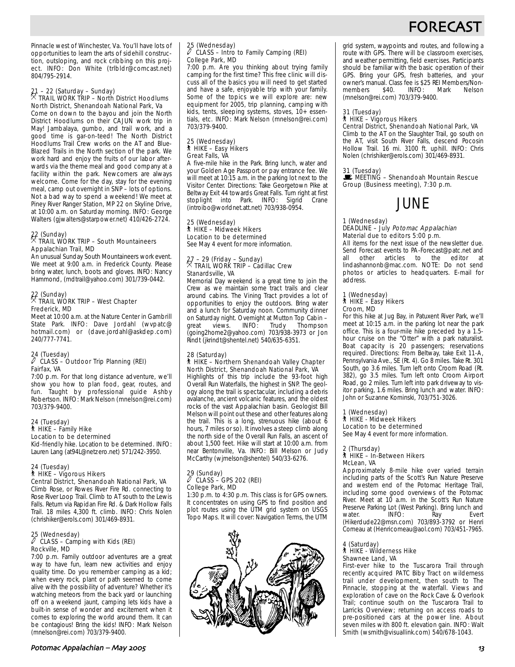## FORECAS

Pinnacle west of Winchester, Va. You'll have lots of opportunities to learn the arts of sidehill construction, outsloping, and rock cribbing on this project. INFO: Don White (trlbldr@comcast.net) 804/795-2914.

### 21 – 22 (Saturday – Sunday) . TRAIL WORK TRIP – North District Hoodlums North District, Shenandoah National Park, Va

Come on down to the bayou and join the North District Hoodlums on their CAJUN work trip in May! Jambalaya, gumbo, and trail work, and a good time is gar-on-teed! The North District Hoodlums Trail Crew works on the AT and Blue-Blazed Trails in the North section of the park. We work hard and enjoy the fruits of our labor afterwards via the theme meal and good company at a facility within the park. Newcomers are always welcome. Come for the day, stay for the evening meal, camp out overnight in SNP – lots of options. Not a bad way to spend a weekend! We meet at Piney River Ranger Station, MP 22 on Skyline Drive, at 10:00 a.m. on Saturday morning. INFO: George Walters (gjwalters@starpower.net) 410/426-2724.

### 22 (Sunday) . TRAIL WORK TRIP – South Mountaineers Appalachian Trail, MD

An unusual Sunday South Mountaineers work event. We meet at 9:00 a.m. in Frederick County. Please bring water, lunch, boots and gloves. INFO: Nancy Hammond, (mdtrail@yahoo.com) 301/739-0442.

### 22 (Sunday) . TRAIL WORK TRIP – West Chapter Frederick, MD

Meet at 10:00 a.m. at the Nature Center in Gambrill State Park. INFO: Dave Jordahl (wvpatc@ hotmail.com) or (dave.jordahl@askdep.com) 240/777-7741.

#### 24 (Tuesday)<br>  $\ell$  CLASS – C cLASS – Outdoor Trip Planning (REI) Fairfax, VA

7:00 p.m. For that long distance adventure, we'll show you how to plan food, gear, routes, and fun. Taught by professional guide Ashby Robertson. INFO: Mark Nelson (mnelson@rei.com) 703/379-9400.

### 24 (Tuesday) ` HIKE – Family Hike Location to be determined

Kid-friendly hike. Location to be determined. INFO: Lauren Lang (at94L@netzero.net) 571/242-3950.

#### 24 (Tuesday) ` HIKE – Vigorous Hikers Central District, Shenandoah National Park, VA

Climb Rose, or Rowes River Fire Rd. connecting to Rose River Loop Trail. Climb to AT south to the Lewis Falls. Return via Rapidan Fire Rd. & Dark Hollow Falls Trail. 18 miles 4,300 ft. climb. INFO: Chris Nolen (chrishiker@erols.com) 301/469-8931.

## 25 (Wednesday) a CLASS – Camping with Kids (REI) Rockville, MD

7:00 p.m. Family outdoor adventures are a great way to have fun, learn new activities and enjoy quality time. Do you remember camping as a kid; when every rock, plant or path seemed to come alive with the possibility of adventure? Whether it's watching meteors from the back yard or launching off on a weekend jaunt, camping lets kids have a built-in sense of wonder and excitement when it comes to exploring the world around them. It can be contagious! Bring the kids! INFO: Mark Nelson (mnelson@rei.com) 703/379-9400.

### Potomac Appalachian – May 6!

### 25 (Wednesday) a CLASS – Intro to Family Camping (REI) College Park, MD

7:00 p.m. Are you thinking about trying family camping for the first time? This free clinic will discuss all of the basics you will need to get started and have a safe, enjoyable trip with your family. Some of the topics we will explore are: new equipment for 2005, trip planning, camping with kids, tents, sleeping systems, stoves, 10+ essentials, etc. INFO: Mark Nelson (mnelson@rei.com) 703/379-9400.

#### 25 (Wednesday) ` HIKE – Easy Hikers Great Falls, VA

A five-mile hike in the Park. Bring lunch, water and your Golden Age Passport or pay entrance fee. We will meet at 10:15 a.m. in the parking lot next to the Visitor Center. Directions: Take Georgetown Pike at Beltway Exit 44 towards Great Falls. Turn right at first<br>stoplight into Park. INFO: Sigrid Crane stoplight into Park. INFO: Sigrid (introibo@worldnet.att.net) 703/938-0954.

### 25 (Wednesday) ` HIKE – Midweek Hikers

Location to be determined See May 4 event for more information.

## 27 – 29 (Friday – Sunday) . TRAIL WORK TRIP – Cadillac Crew Stanardsville, VA

Memorial Day weekend is a great time to join the Crew as we maintain some tract trails and clear around cabins. The Vining Tract provides a lot of opportunities to enjoy the outdoors. Bring water and a lunch for Saturday noon. Community dinner on Saturday night. Overnight at Mutton Top Cabin – great views. INFO: Trudy Thompson views. INFO: Trudy Thompson (going2home2@yahoo.com) 703/938-3973 or Jon Rindt (jkrindt@shentel.net) 540/635-6351.

### 28 (Saturday) ` HIKE – Northern Shenandoah Valley Chapter North District, Shenandoah National Park, VA

Highlights of this trip include the 93-foot high Overall Run Waterfalls, the highest in SNP. The geology along the trail is spectacular, including a debris avalanche, ancient volcanic features, and the oldest rocks of the vast Appalachian basin. Geologist Bill Melson will point out these and other features along the trail. This is a long, strenuous hike (about  $\overline{6}$ hours, 7 miles or so). It involves a steep climb along the north side of the Overall Run Falls, an ascent of about 1,500 feet. Hike will start at 10:00 a.m. from near Bentonville, Va. INFO: Bill Melson or Judy McCarthy (wjmelson@shentel) 540/33-6276.

### 29 (Sunday) a CLASS – GPS 202 (REI) College Park, MD

1:30 p.m. to 4:30 p.m. This class is for GPS owners. It concentrates on using GPS to find position and plot routes using the UTM grid system on USGS Topo Maps. It will cover: Navigation Terms, the UTM



grid system, waypoints and routes, and following a route with GPS. There will be classroom exercises, and weather permitting, field exercises. Participants should be familiar with the basic operation of their GPS. Bring your GPS, fresh batteries, and your owner's manual. Class fee is \$25 REI Members/Nonmembers \$40. INFO: Mark Nelson (mnelson@rei.com) 703/379-9400.

## 31 (Tuesday) ` HIKE – Vigorous Hikers

Central District, Shenandoah National Park, VA

Climb to the AT on the Slaughter Trail, go south on the AT, visit South River Falls, descend Pocosin Hollow Trail. 16 mi. 3100 ft. uphill. INFO: Chris Nolen (chrishiker@erols.com) 301/469-8931.

31 (Tuesday)<br>■ MEETING – Shenandoah Mountain Rescue Group (Business meeting), 7:30 p.m.

## JUNE

#### 1 (Wednesday) DEADLINE – July Potomac Appalachian Material due to editors 5:00 p.m.

All items for the next issue of the newsletter due. Send Forecast events to PA-Forecast@patc.net and<br>all other articles to the editor at articles to lindashannonb@mac.com. NOTE: Do not send photos or articles to headquarters. E-mail for address.

1 (Wednesday) ` HIKE – Easy Hikers

## Croom, MD

For this hike at Jug Bay, in Patuxent River Park, we'll meet at 10:15 a.m. in the parking lot near the park office. This is a four-mile hike preceded by a 1.5 hour cruise on the "Otter" with a park naturalist. Boat capacity is 20 passengers; reservations required. Directions: From Beltway, take Exit 11-A, Pennsylvania Ave., SE (Rt. 4). Go 8 miles. Take Rt. 301 South, go 3.6 miles. Turn left onto Croom Road (Rt. 382), go 3.5 miles. Turn left onto Croom Airport Road, go 2 miles. Turn left into park driveway to visitor parking, 1.6 miles. Bring lunch and water. INFO: John or Suzanne Kominski, 703/751-3026.

#### 1 (Wednesday) ` HIKE - Midweek Hikers Location to be determined

See May 4 event for more information.

### 2 (Thursday) ` HIKE – In-Between Hikers

## McLean, VA

Approximately 8-mile hike over varied terrain including parts of the Scott's Run Nature Preserve and western end of the Potomac Heritage Trail, including some good overviews of the Potomac River. Meet at 10 a.m. in the Scott's Run Nature Preserve Parking Lot (West Parking). Bring lunch and water. INFO: Ray Evert (Hikerdude22@msn.com) 703/893-3792 or Henri Comeau at (Henricomeau@aol.com) 703/451-7965.

### 4 (Saturday) ` HIKE - Wilderness Hike Shawnee Land, VA

First-ever hike to the Tuscarora Trail through recently acquired PATC Biby Tract on wilderness trail under development, then south to The Pinnacle, stopping at the waterfall. Views and exploration of cave on the Rock Cave & Overlook Trail; continue south on the Tuscarora Trail to Larricks Overview; returning on access roads to pre-positioned cars at the power line. About seven miles with 800 ft. elevation gain. INFO: Walt Smith (wsmith@visuallink.com) 540/678-1043.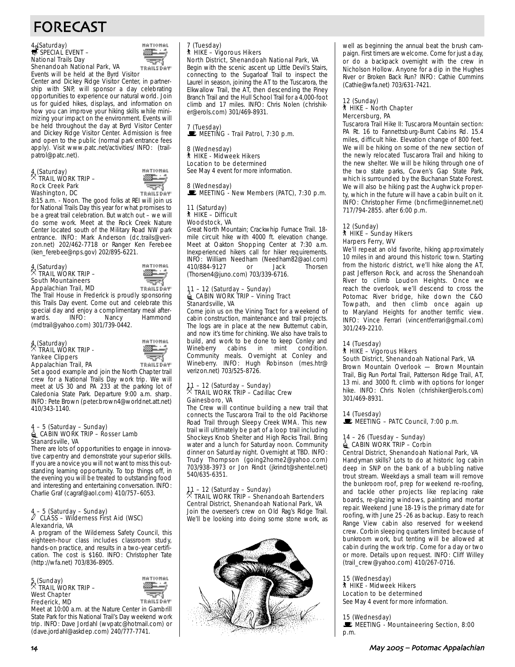# FORECAST

## 4 (Saturday)<br>
SPECIAL EVENT – National Trails Day



Shenandoah National Park, VA **TRAILSDAY** Events will be held at the Byrd Visitor

Center and Dickey Ridge Visitor Center, in partnership with SNP, will sponsor a day celebrating opportunities to experience our natural world. Join us for guided hikes, displays, and information on how you can improve your hiking skills while minimizing your impact on the environment. Events will be held throughout the day at Byrd Visitor Center and Dickey Ridge Visitor Center. Admission is free and open to the public (normal park entrance fees apply). Visit www.patc.net/activities/ INFO: (trailpatrol@patc.net).

### 4 (Saturday) . TRAIL WORK TRIP – Rock Creek Park Washington, DC



8:15 a.m. - Noon. The good folks at REI will join us for National Trails Day this year for what promises to be a great trail celebration. But watch out – we will do some work. Meet at the Rock Creek Nature Center located south of the Military Road NW park entrance. INFO: Mark Anderson (dc.trails@verizon.net) 202/462-7718 or Ranger Ken Ferebee (ken\_ferebee@nps.gov) 202/895-6221.

### 4 (Saturday) . TRAIL WORK TRIP – South Mountaineers Appalachian Trail, MD



The Trail House in Frederick is proudly sponsoring this Trails Day event. Come out and celebrate this special day and enjoy a complimentary meal after-Hammond (mdtrail@yahoo.com) 301/739-0442.

### 4 (Saturday) . TRAIL WORK TRIP - Yankee Clippers Appalachian Trail, PA

⊑≟ ألتوجه **TRAILSDAY** 

**HATIOHAL** 

Set a good example and join the North Chapter trail crew for a National Trails Day work trip. We will meet at US 30 and PA 233 at the parking lot of Caledonia State Park. Departure 9:00 a.m. sharp. INFO: Pete Brown (peter.brown4@worldnet.att.net) 410/343-1140.

## 4 – 5 (Saturday – Sunday)<br>4 CABIN WORK TRIP – Rosser Lamb Stanardsville, VA

There are lots of opportunities to engage in innovative carpentry and demonstrate your superior skills. If you are a novice you will not want to miss this outstanding learning opportunity. To top things off, in the evening you will be treated to outstanding food and interesting and entertaining conversation. INFO: Charlie Graf (cagraf@aol.com) 410/757–6053.

## 4 – 5 (Saturday – Sunday) a CLASS – Wilderness First Aid (WSC) Alexandria, VA

A program of the Wilderness Safety Council, this eighteen-hour class includes classroom study, hands-on practice, and results in a two-year certification. The cost is \$160. INFO: Christopher Tate (http://wfa.net) 703/836-8905.

### 5 (Sunday) . TRAIL WORK TRIP – West Chapter Frederick, MD



Meet at 10:00 a.m. at the Nature Center in Gambrill State Park for this National Trail's Day weekend work trip. INFO: Dave Jordahl (wvpatc@hotmail.com) or (dave.jordahl@askdep.com) 240/777-7741.

7 (Tuesday) ` HIKE – Vigorous Hikers

North District, Shenandoah National Park, VA Begin with the scenic ascent up Little Devil's Stairs, connecting to the Sugarloaf Trail to inspect the Laurel in season, joining the AT to the Tuscarora, the Elkwallow Trail, the AT, then descending the Piney Branch Trail and the Hull School Trail for a 4,000-foot climb and 17 miles. INFO: Chris Nolen (chrishiker@erols.com) 301/469-8931.

### 7 (Tuesday)  $\mathbf{\dot{E}}$  MEETING - Trail Patrol, 7:30 p.m.

8 (Wednesday) ` HIKE - Midweek Hikers Location to be determined See May 4 event for more information.

8 (Wednesday)  $\mathbf{\dot{F}}$  MEETING - New Members (PATC), 7:30 p.m.

### 11 (Saturday) ` HIKE – Difficult Woodstock, VA

Great North Mountain; Crackwhip Furnace Trail. 18 mile circuit hike with 4000 ft. elevation change. Meet at Oakton Shopping Center at 7:30 a.m. Inexperienced hikers call for hiker requirements. INFO: William Needham (Needham82@aol.com) 410/884-9127 or Jack Thorsen (Thorsen4@juno.com) 703/339-6716.

#### 11 – 12 (Saturday – Sunday)  $\triangleq$  CABIN WORK TRIP – Vining Tract Stanardsville, VA

Come join us on the Vining Tract for a weekend of cabin construction, maintenance and trail projects. The logs are in place at the new Butternut cabin, and now it's time for chinking. We also have trails to build, and work to be done to keep Conley and Wineberry cabins in mint condition. Community meals. Overnight at Conley and Wineberry. INFO: Hugh Robinson (mes.htr@ verizon.net) 703/525-8726.

#### 11 – 12 (Saturday – Sunday)  $\%$  TRAIL WORK TRIP – Cadillac Crew Gainesboro, VA

The Crew will continue building a new trail that connects the Tuscarora Trail to the old Packhorse Road Trail through Sleepy Creek WMA. This new trail will ultimately be part of a loop trail including Shockeys Knob Shelter and High Rocks Trail. Bring water and a lunch for Saturday noon. Community dinner on Saturday night. Overnight at TBD. INFO: Trudy Thompson (going2home2@yahoo.com) 703/938-3973 or Jon Rindt (jkrindt@shentel.net) 540/635-6351.

### 11 – 12 (Saturday – Sunday) . TRAIL WORK TRIP – Shenandoah Bartenders Central District, Shenandoah National Park, VA Join the overseer's crew on Old Rag's Ridge Trail. We'll be looking into doing some stone work, as



well as beginning the annual beat the brush campaign. First timers are welcome. Come for just a day, or do a backpack overnight with the crew in Nicholson Hollow. Anyone for a dip in the Hughes River or Broken Back Run? INFO: Cathie Cummins (Cathie@wfa.net) 703/631-7421.

#### 12 (Sunday) ` HIKE – North Chapter Mercersburg, PA

Tuscarora Trail Hike II: Tuscarora Mountain section: PA Rt. 16 to Fannettsburg-Burnt Cabins Rd. 15.4 miles, difficult hike. Elevation change of 800 feet. We will be hiking on some of the new section of the newly relocated Tuscarora Trail and hiking to the new shelter. We will be hiking through one of the two state parks, Cowen's Gap State Park, which is surrounded by the Buchanan State Forest. We will also be hiking past the Aughwick property, which in the future will have a cabin built on it. INFO: Christopher Firme (bncfirme@innernet.net) 717/794-2855. after 6:00 p.m.

#### 12 (Sunday) ` HIKE – Sunday Hikers Harpers Ferry, WV

We'll repeat an old favorite, hiking approximately 10 miles in and around this historic town. Starting from the historic district, we'll hike along the AT, past Jefferson Rock, and across the Shenandoah River to climb Loudon Heights. Once we reach the overlook, we'll descend to cross the Potomac River bridge, hike down the C&O Towpath, and then climb once again up to Maryland Heights for another terrific view. INFO: Vince Ferrari (vincentferrari@gmail.com) 301/249-2210.

#### 14 (Tuesday) **A** HIKE – Vigorous Hikers

## South District, Shenandoah National Park, VA

Brown Mountain Overlook — Brown Mountain Trail, Big Run Portal Trail, Patterson Ridge Trail, AT, 13 mi. and 3000 ft. climb with options for longer hike. INFO: Chris Nolen (chrishiker@erols.com) 301/469-8931.

14 (Tuesday)  $\mathbf{E}$  MEETING – PATC Council, 7:00 p.m.

### 14 – 26 (Tuesday – Sunday)  $\triangleq$  CABIN WORK TRIP – Corbin

Central District, Shenandoah National Park, VA Handyman skills? Lots to do at historic log cabin deep in SNP on the bank of a bubbling native trout stream. Weekdays a small team will remove the bunkroom roof, prep for weekend re-roofing, and tackle other projects like replacing rake boards, re-glazing windows, painting and mortar repair. Weekend June 18-19 is the primary date for roofing, with June 25 -26 as backup. Easy to reach Range View cabin also reserved for weekend crew. Corbin sleeping quarters limited because of bunkroom work, but tenting will be allowed at cabin during the work trip. Come for a day or two or more. Details upon request. INFO: Cliff Willey (trail\_crew@yahoo.com) 410/267-0716.

15 (Wednesday) ` HIKE - Midweek Hikers Location to be determined See May 4 event for more information.

### 15 (Wednesday)

**WEETING - Mountaineering Section, 8:00** p.m.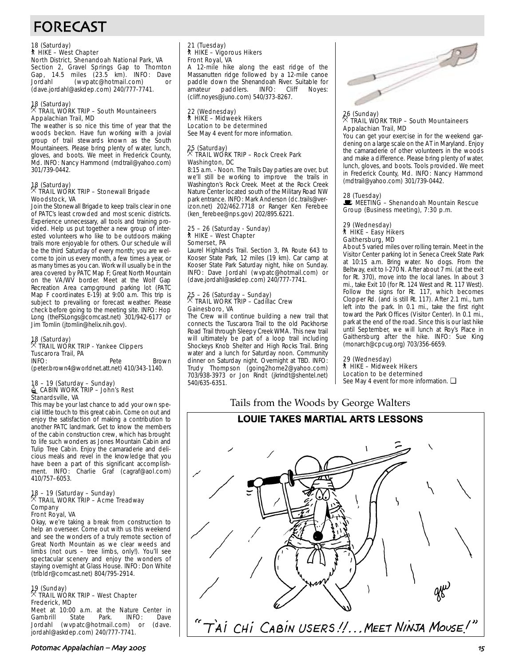# FORECAST

## 18 (Saturday) ` HIKE – West Chapter North District, Shenandoah National Park, VA

Section 2, Gravel Springs Gap to Thornton Gap, 14.5 miles (23.5 km). INFO: Dave Jordahl (wvpatc@hotmail.com) or (dave.jordahl@askdep.com) 240/777-7741.

#### 18 (Saturday)<br> **Ref** . TRAIL WORK TRIP – South Mountaineers Appalachian Trail, MD

The weather is so nice this time of year that the woods beckon. Have fun working with a jovial group of trail stewards known as the South Mountaineers. Please bring plenty of water, lunch, gloves, and boots. We meet in Frederick County, Md. INFO: Nancy Hammond (mdtrail@yahoo.com) 301/739-0442.

### 18 (Saturday) . TRAIL WORK TRIP – Stonewall Brigade Woodstock, VA

Join the Stonewall Brigade to keep trails clear in one of PATC's least crowded and most scenic districts. Experience unnecessary, all tools and training provided. Help us put together a new group of interested volunteers who like to be outdoors making trails more enjoyable for others. Our schedule will be the third Saturday of every month; you are welcome to join us every month, a few times a year, or as many times as you can. Work will usually be in the area covered by PATC Map F; Great North Mountain on the VA/WV border. Meet at the Wolf Gap Recreation Area campground parking lot (PATC Map F coordinates E-19) at 9:00 a.m. This trip is subject to prevailing or forecast weather. Please check before going to the meeting site. INFO: Hop Long (theFSLongs@comcast.net) 301/942-6177 or Jim Tomlin (jtomlin@helix.nih.gov).

## 18 (Saturday) . TRAIL WORK TRIP - Yankee Clippers Tuscarora Trail, PA

Pete Brown (peter.brown4@worldnet.att.net) 410/343-1140.

## 18 – 19 (Saturday – Sunday)<br>
CABIN WORK TRIP – John's Rest Stanardsville, VA

This may be your last chance to add your own special little touch to this great cabin. Come on out and enjoy the satisfaction of making a contribution to another PATC landmark. Get to know the members of the cabin construction crew, which has brought to life such wonders as Jones Mountain Cabin and Tulip Tree Cabin. Enjoy the camaraderie and delicious meals and revel in the knowledge that you have been a part of this significant accomplishment. INFO: Charlie Graf (cagraf@aol.com) 410/757–6053.

### 18 – 19 (Saturday – Sunday) . TRAIL WORK TRIP – Acme Treadway Company Front Royal, VA

Okay, we're taking a break from construction to help an overseer. Come out with us this weekend and see the wonders of a truly remote section of Great North Mountain as we clear weeds and limbs (not ours – tree limbs, only!). You'll see spectacular scenery and enjoy the wonders of staying overnight at Glass House. INFO: Don White (trlbldr@comcast.net) 804/795-2914.

### 19 (Sunday) . TRAIL WORK TRIP – West Chapter Frederick, MD

Meet at 10:00 a.m. at the Nature Center in Gambrill State Park. INFO: Dave<br>Jordahl (wypatc@hotmail.com) or (dave. Jordahl (wvpatc@hotmail.com) or jordahl@askdep.com) 240/777-7741.

## 21 (Tuesday) ` HIKE – Vigorous Hikers Front Royal, VA

A 12-mile hike along the east ridge of the Massanutten ridge followed by a 12-mile canoe paddle down the Shenandoah River. Suitable for<br>amateur paddlers. INFO: Cliff Noves: paddlers. (cliff.noyes@juno.com) 540/373-8267.

22 (Wednesday) ` HIKE – Midweek Hikers Location to be determined See May 4 event for more information.

## 25 (Saturday) . TRAIL WORK TRIP – Rock Creek Park Washington, DC

8:15 a.m. - Noon. The Trails Day parties are over, but we'll still be working to improve the trails in Washington's Rock Creek. Meet at the Rock Creek Nature Center located south of the Military Road NW park entrance. INFO: Mark Anderson (dc.trails@verizon.net) 202/462.7718 or Ranger Ken Ferebee (ken\_ferebee@nps.gov) 202/895.6221.

#### 25 – 26 (Saturday - Sunday) ` HIKE – West Chapter Somerset, PA

Laurel Highlands Trail. Section 3, PA Route 643 to Kooser State Park, 12 miles (19 km). Car camp at Kooser State Park Saturday night, hike on Sunday. INFO: Dave Jordahl (wvpatc@hotmail.com) or (dave.jordahl@askdep.com) 240/777-7741.

## 25 – 26 (Saturday – Sunday) . TRAIL WORK TRIP – Cadillac Crew Gainesboro, VA

The Crew will continue building a new trail that connects the Tuscarora Trail to the old Packhorse Road Trail through Sleepy Creek WMA. This new trail will ultimately be part of a loop trail including Shockeys Knob Shelter and High Rocks Trail. Bring water and a lunch for Saturday noon. Community dinner on Saturday night. Overnight at TBD. INFO: Trudy Thompson (going2home2@yahoo.com) 703/938-3973 or Jon Rindt (jkrindt@shentel.net) 540/635-6351.



### 26 (Sunday) . TRAIL WORK TRIP – South Mountaineers Appalachian Trail, MD

You can get your exercise in for the weekend gardening on a large scale on the AT in Maryland. Enjoy the camaraderie of other volunteers in the woods and make a difference. Please bring plenty of water, lunch, gloves, and boots. Tools provided. We meet in Frederick County, Md. INFO: Nancy Hammond (mdtrail@yahoo.com) 301/739-0442.

### 28 (Tuesday)

 $\mathbb E$  MEETING – Shenandoah Mountain Rescue Group (Business meeting), 7:30 p.m.

### 29 (Wednesday) ` HIKE – Easy Hikers Gaithersburg, MD

About 5 varied miles over rolling terrain. Meet in the Visitor Center parking lot in Seneca Creek State Park at 10:15 a.m. Bring water. No dogs. From the Beltway, exit to I-270 N. After about 7 mi. (at the exit for Rt. 370), move into the local lanes. In about 3 mi., take Exit 10 (for Rt. 124 West and Rt. 117 West). Follow the signs for Rt. 117, which becomes Clopper Rd. (and is still Rt. 117). After 2.1 mi., turn left into the park. In 0.1 mi., take the first right toward the Park Offices (Visitor Center). In 0.1 mi., park at the end of the road. Since this is our last hike until September, we will lunch at Roy's Place in Gaithersburg after the hike. INFO: Sue King (monarch@cpcug.org) 703/356-6659.

29 (Wednesday) ` HIKE – Midweek Hikers Location to be determined See May 4 event for more information. ❏

## Tails from the Woods by George Walters

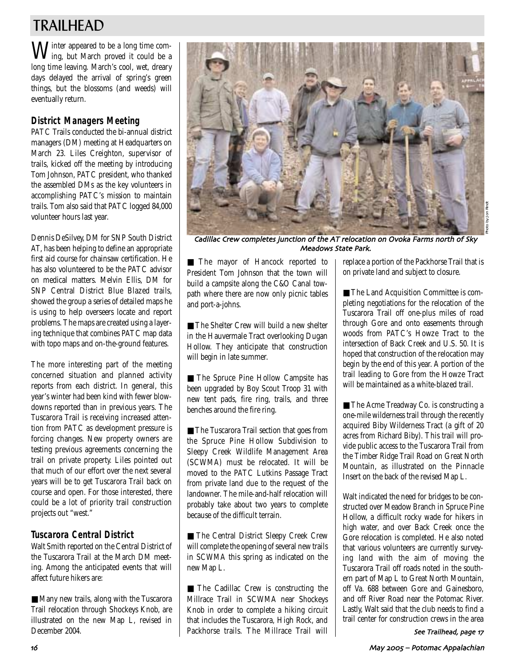## TRAILHEAD

Winter appeared to be a long time com-ing, but March proved it could be a long time leaving. March's cool, wet, dreary days delayed the arrival of spring's green things, but the blossoms (and weeds) will eventually return.

## **District Managers Meeting**

PATC Trails conducted the bi-annual district managers (DM) meeting at Headquarters on March 23. Liles Creighton, supervisor of trails, kicked off the meeting by introducing Tom Johnson, PATC president, who thanked the assembled DMs as the key volunteers in accomplishing PATC's mission to maintain trails. Tom also said that PATC logged 84,000 volunteer hours last year.

Dennis DeSilvey, DM for SNP South District AT, has been helping to define an appropriate first aid course for chainsaw certification. He has also volunteered to be the PATC advisor on medical matters. Melvin Ellis, DM for SNP Central District Blue Blazed trails, showed the group a series of detailed maps he is using to help overseers locate and report problems. The maps are created using a layering technique that combines PATC map data with topo maps and on-the-ground features.

The more interesting part of the meeting concerned situation and planned activity reports from each district. In general, this year's winter had been kind with fewer blowdowns reported than in previous years. The Tuscarora Trail is receiving increased attention from PATC as development pressure is forcing changes. New property owners are testing previous agreements concerning the trail on private property. Liles pointed out that much of our effort over the next several years will be to get Tuscarora Trail back on course and open. For those interested, there could be a lot of priority trail construction projects out "west."

## **Tuscarora Central District**

Walt Smith reported on the Central District of the Tuscarora Trail at the March DM meeting. Among the anticipated events that will affect future hikers are:

■ Many new trails, along with the Tuscarora Trail relocation through Shockeys Knob, are illustrated on the new Map L, revised in December 2004.



Photo by Jon Rindt

Cadillac Crew completes junction of the AT relocation on Ovoka Farms north of Sky Meadows State Park.

■ The mayor of Hancock reported to President Tom Johnson that the town will build a campsite along the C&O Canal towpath where there are now only picnic tables and port-a-johns.

■ The Shelter Crew will build a new shelter in the Hauvermale Tract overlooking Dugan Hollow. They anticipate that construction will begin in late summer.

■ The Spruce Pine Hollow Campsite has been upgraded by Boy Scout Troop 31 with new tent pads, fire ring, trails, and three benches around the fire ring.

■ The Tuscarora Trail section that goes from the Spruce Pine Hollow Subdivision to Sleepy Creek Wildlife Management Area (SCWMA) must be relocated. It will be moved to the PATC Lutkins Passage Tract from private land due to the request of the landowner. The mile-and-half relocation will probably take about two years to complete because of the difficult terrain.

■ The Central District Sleepy Creek Crew will complete the opening of several new trails in SCWMA this spring as indicated on the new Map L.

■ The Cadillac Crew is constructing the Millrace Trail in SCWMA near Shockeys Knob in order to complete a hiking circuit that includes the Tuscarora, High Rock, and Packhorse trails. The Millrace Trail will replace a portion of the Packhorse Trail that is on private land and subject to closure.

■ The Land Acquisition Committee is completing negotiations for the relocation of the Tuscarora Trail off one-plus miles of road through Gore and onto easements through woods from PATC's Howze Tract to the intersection of Back Creek and U.S. 50. It is hoped that construction of the relocation may begin by the end of this year. A portion of the trail leading to Gore from the Howze Tract will be maintained as a white-blazed trail.

■ The Acme Treadway Co. is constructing a one-mile wilderness trail through the recently acquired Biby Wilderness Tract (a gift of 20 acres from Richard Biby). This trail will provide public access to the Tuscarora Trail from the Timber Ridge Trail Road on Great North Mountain, as illustrated on the Pinnacle Insert on the back of the revised Map L.

Walt indicated the need for bridges to be constructed over Meadow Branch in Spruce Pine Hollow, a difficult rocky wade for hikers in high water, and over Back Creek once the Gore relocation is completed. He also noted that various volunteers are currently surveying land with the aim of moving the Tuscarora Trail off roads noted in the southern part of Map L to Great North Mountain, off Va. 688 between Gore and Gainesboro, and off River Road near the Potomac River. Lastly, Walt said that the club needs to find a trail center for construction crews in the area

See Trailhead, page 17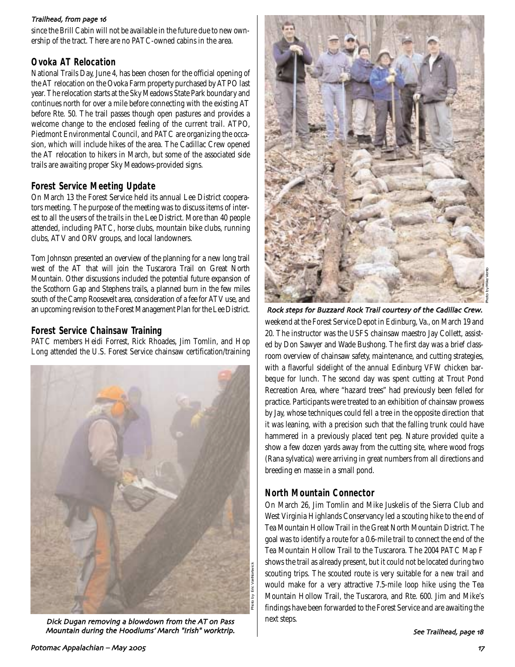### Trailhead, from page 16

since the Brill Cabin will not be available in the future due to new ownership of the tract. There are no PATC-owned cabins in the area.

## **Ovoka AT Relocation**

National Trails Day, June 4, has been chosen for the official opening of the AT relocation on the Ovoka Farm property purchased by ATPO last year. The relocation starts at the Sky Meadows State Park boundary and continues north for over a mile before connecting with the existing AT before Rte. 50. The trail passes though open pastures and provides a welcome change to the enclosed feeling of the current trail. ATPO, Piedmont Environmental Council, and PATC are organizing the occasion, which will include hikes of the area. The Cadillac Crew opened the AT relocation to hikers in March, but some of the associated side trails are awaiting proper Sky Meadows-provided signs.

### **Forest Service Meeting Update**

On March 13 the Forest Service held its annual Lee District cooperators meeting. The purpose of the meeting was to discuss items of interest to all the users of the trails in the Lee District. More than 40 people attended, including PATC, horse clubs, mountain bike clubs, running clubs, ATV and ORV groups, and local landowners.

Tom Johnson presented an overview of the planning for a new long trail west of the AT that will join the Tuscarora Trail on Great North Mountain. Other discussions included the potential future expansion of the Scothorn Gap and Stephens trails, a planned burn in the few miles south of the Camp Roosevelt area, consideration of a fee for ATV use, and an upcoming revision to the Forest Management Plan for the Lee District.

### **Forest Service Chainsaw Training**

PATC members Heidi Forrest, Rick Rhoades, Jim Tomlin, and Hop Long attended the U.S. Forest Service chainsaw certification/training



Dick Dugan removing a blowdown from the AT on Pass Mountain during the Hoodlums' March "Irish" worktrip.



Photo by Mike Vento

weekend at the Forest Service Depot in Edinburg, Va., on March 19 and 20. The instructor was the USFS chainsaw maestro Jay Collett, assisted by Don Sawyer and Wade Bushong. The first day was a brief classroom overview of chainsaw safety, maintenance, and cutting strategies, with a flavorful sidelight of the annual Edinburg VFW chicken barbeque for lunch. The second day was spent cutting at Trout Pond Recreation Area, where "hazard trees" had previously been felled for practice. Participants were treated to an exhibition of chainsaw prowess by Jay, whose techniques could fell a tree in the opposite direction that it was leaning, with a precision such that the falling trunk could have hammered in a previously placed tent peg. Nature provided quite a show a few dozen yards away from the cutting site, where wood frogs (Rana sylvatica) were arriving in great numbers from all directions and breeding en masse in a small pond. Rock steps for Buzzard Rock Trail courtesy of the Cadillac Crew.

## **North Mountain Connector**

On March 26, Jim Tomlin and Mike Juskelis of the Sierra Club and West Virginia Highlands Conservancy led a scouting hike to the end of Tea Mountain Hollow Trail in the Great North Mountain District. The goal was to identify a route for a 0.6-mile trail to connect the end of the Tea Mountain Hollow Trail to the Tuscarora. The 2004 PATC Map F shows the trail as already present, but it could not be located during two scouting trips. The scouted route is very suitable for a new trail and would make for a very attractive 7.5-mile loop hike using the Tea Mountain Hollow Trail, the Tuscarora, and Rte. 600. Jim and Mike's findings have been forwarded to the Forest Service and are awaiting the next steps.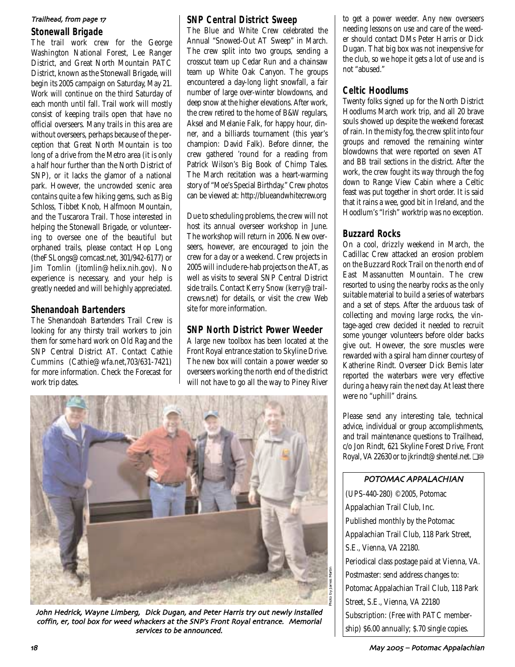### Trailhead, from page 17

### **Stonewall Brigade**

The trail work crew for the George Washington National Forest, Lee Ranger District, and Great North Mountain PATC District, known as the Stonewall Brigade, will begin its 2005 campaign on Saturday, May 21. Work will continue on the third Saturday of each month until fall. Trail work will mostly consist of keeping trails open that have no official overseers. Many trails in this area are without overseers, perhaps because of the perception that Great North Mountain is too long of a drive from the Metro area (it is only a half hour further than the North District of SNP), or it lacks the glamor of a national park. However, the uncrowded scenic area contains quite a few hiking gems, such as Big Schloss, Tibbet Knob, Halfmoon Mountain, and the Tuscarora Trail. Those interested in helping the Stonewall Brigade, or volunteering to oversee one of the beautiful but orphaned trails, please contact Hop Long (theFSLongs@comcast.net, 301/942-6177) or Jim Tomlin (jtomlin@helix.nih.gov). No experience is necessary, and your help is greatly needed and will be highly appreciated.

## **Shenandoah Bartenders**

The Shenandoah Bartenders Trail Crew is looking for any thirsty trail workers to join them for some hard work on Old Rag and the SNP Central District AT. Contact Cathie Cummins (Cathie@wfa.net,703/631-7421) for more information. Check the Forecast for work trip dates.

### **SNP Central District Sweep**

The Blue and White Crew celebrated the Annual "Snowed-Out AT Sweep" in March. The crew split into two groups, sending a crosscut team up Cedar Run and a chainsaw team up White Oak Canyon. The groups encountered a day-long light snowfall, a fair number of large over-winter blowdowns, and deep snow at the higher elevations. After work, the crew retired to the home of B&W regulars, Aksel and Melanie Falk, for happy hour, dinner, and a billiards tournament (this year's champion: David Falk). Before dinner, the crew gathered 'round for a reading from Patrick Wilson's Big Book of Chimp Tales. The March recitation was a heart-warming story of "Moe's Special Birthday." Crew photos can be viewed at: http://blueandwhitecrew.org

Due to scheduling problems, the crew will not host its annual overseer workshop in June. The workshop will return in 2006. New overseers, however, are encouraged to join the crew for a day or a weekend. Crew projects in 2005 will include re-hab projects on the AT, as well as visits to several SNP Central District side trails. Contact Kerry Snow (kerry@trailcrews.net) for details, or visit the crew Web site for more information.

## **SNP North District Power Weeder**

A large new toolbox has been located at the Front Royal entrance station to Skyline Drive. The new box will contain a power weeder so overseers working the north end of the district will not have to go all the way to Piney River



John Hedrick, Wayne Limberg, Dick Dugan, and Peter Harris try out newly installed coffin, er, tool box for weed whackers at the SNP's Front Royal entrance. Memorial services to be announced.

to get a power weeder. Any new overseers needing lessons on use and care of the weeder should contact DMs Peter Harris or Dick Dugan. That big box was not inexpensive for the club, so we hope it gets a lot of use and is not "abused."

### **Celtic Hoodlums**

Twenty folks signed up for the North District Hoodlums March work trip, and all 20 brave souls showed up despite the weekend forecast of rain. In the misty fog, the crew split into four groups and removed the remaining winter blowdowns that were reported on seven AT and BB trail sections in the district. After the work, the crew fought its way through the fog down to Range View Cabin where a Celtic feast was put together in short order. It is said that it rains a wee, good bit in Ireland, and the Hoodlum's "Irish" worktrip was no exception.

## **Buzzard Rocks**

On a cool, drizzly weekend in March, the Cadillac Crew attacked an erosion problem on the Buzzard Rock Trail on the north end of East Massanutten Mountain. The crew resorted to using the nearby rocks as the only suitable material to build a series of waterbars and a set of steps. After the arduous task of collecting and moving large rocks, the vintage-aged crew decided it needed to recruit some younger volunteers before older backs give out. However, the sore muscles were rewarded with a spiral ham dinner courtesy of Katherine Rindt. Overseer Dick Bemis later reported the waterbars were very effective during a heavy rain the next day. At least there were no "uphill" drains.

Please send any interesting tale, technical advice, individual or group accomplishments, and trail maintenance questions to Trailhead, c/o Jon Rindt, 621 Skyline Forest Drive, Front Royal, VA 22630 or to jkrindt@shentel.net. ❏⑩

### POTOMAC APPALACHIAN

(UPS-440-280) ©2005, Potomac Appalachian Trail Club, Inc. Published monthly by the Potomac Appalachian Trail Club, 118 Park Street, S.E., Vienna, VA 22180. Periodical class postage paid at Vienna, VA. Postmaster: send address changes to: Potomac Appalachian Trail Club, 118 Park Street, S.E., Vienna, VA 22180 Subscription: (Free with PATC membership) \$6.00 annually; \$.70 single copies.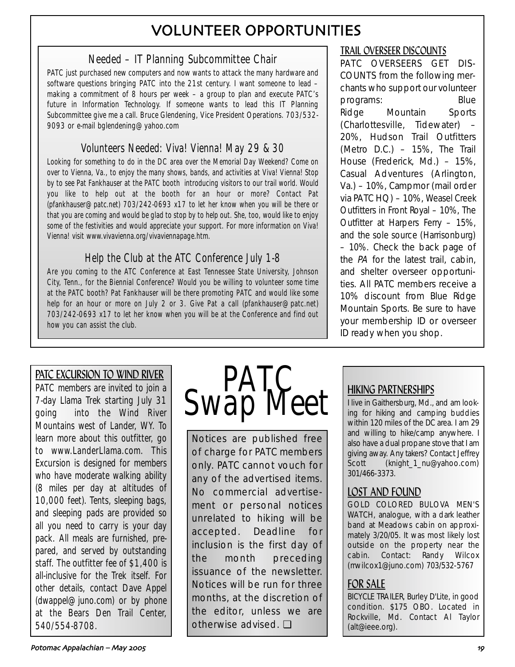## VOLUNTEER OPPORTUNITIES

## Needed – IT Planning Subcommittee Chair

PATC just purchased new computers and now wants to attack the many hardware and software questions bringing PATC into the 21st century. I want someone to lead – making a commitment of 8 hours per week – a group to plan and execute PATC's future in Information Technology. If someone wants to lead this IT Planning Subcommittee give me a call. Bruce Glendening, Vice President Operations. 703/532- 9093 or e-mail bglendening@yahoo.com

## Volunteers Needed: Viva! Vienna! May 29 & 30

Looking for something to do in the DC area over the Memorial Day Weekend? Come on over to Vienna, Va., to enjoy the many shows, bands, and activities at Viva! Vienna! Stop by to see Pat Fankhauser at the PATC booth introducing visitors to our trail world. Would you like to help out at the booth for an hour or more? Contact Pat (pfankhauser@patc.net) 703/242-0693 x17 to let her know when you will be there or that you are coming and would be glad to stop by to help out. She, too, would like to enjoy some of the festivities and would appreciate your support. For more information on Viva! Vienna! visit www.vivavienna.org/vivaviennapage.htm.

## Help the Club at the ATC Conference July 1-8

Are you coming to the ATC Conference at East Tennessee State University, Johnson City, Tenn., for the Biennial Conference? Would you be willing to volunteer some time at the PATC booth? Pat Fankhauser will be there promoting PATC and would like some help for an hour or more on July 2 or 3. Give Pat a call (pfankhauser@patc.net) 703/242-0693 x17 to let her know when you will be at the Conference and find out how you can assist the club.

## PATC EXCURSION TO WIND RIVER

PATC members are invited to join a 7-day Llama Trek starting July 31 going into the Wind River Mountains west of Lander, WY. To learn more about this outfitter, go to www.LanderLlama.com. This Excursion is designed for members who have moderate walking ability (8 miles per day at altitudes of 10,000 feet). Tents, sleeping bags, and sleeping pads are provided so all you need to carry is your day pack. All meals are furnished, prepared, and served by outstanding staff. The outfitter fee of \$1,400 is all-inclusive for the Trek itself. For other details, contact Dave Appel (dwappel@juno.com) or by phone at the Bears Den Trail Center, 540/554-8708.



Notices are published free of charge for PATC members only. PATC cannot vouch for any of the advertised items. No commercial advertisement or personal notices unrelated to hiking will be accepted. Deadline for inclusion is the first day of the month preceding issuance of the newsletter. Notices will be run for three months, at the discretion of the editor, unless we are otherwise advised. ❏

## TRAIL OVERSEER DISCOUNTS

PATC OVERSEERS GET DIS-COUNTS from the following merchants who support our volunteer programs: Blue Ridge Mountain Sports (Charlottesville, Tidewater) – 20%, Hudson Trail Outfitters (Metro D.C.) – 15%, The Trail House (Frederick, Md.) – 15%, Casual Adventures (Arlington, Va.) – 10%, Campmor (mail order via PATC HQ) – 10%, Weasel Creek Outfitters in Front Royal – 10%, The Outfitter at Harpers Ferry – 15%, and the sole source (Harrisonburg) – 10%. Check the back page of the PA for the latest trail, cabin, and shelter overseer opportunities. All PATC members receive a 10% discount from Blue Ridge Mountain Sports. Be sure to have your membership ID or overseer ID ready when you shop.

## HIKING PARTNERSHIPS

I live in Gaithersburg, Md., and am looking for hiking and camping buddies within 120 miles of the DC area. I am 29 and willing to hike/camp anywhere. I also have a dual propane stove that I am giving away. Any takers? Contact Jeffrey Scott (knight\_1\_nu@yahoo.com) 301/466-3373.

## LOST AND FOUND

GOLD COLORED BULOVA MEN'S WATCH, analogue, with a dark leather band at Meadows cabin on approximately 3/20/05. It was most likely lost outside on the property near the cabin. Contact: Randy Wilcox (rrwilcox1@juno.com) 703/532-5767

## FOR SALE

BICYCLE TRAILER, Burley D'Lite, in good condition. \$175 OBO. Located in Rockville, Md. Contact Al Taylor (alt@ieee.org).